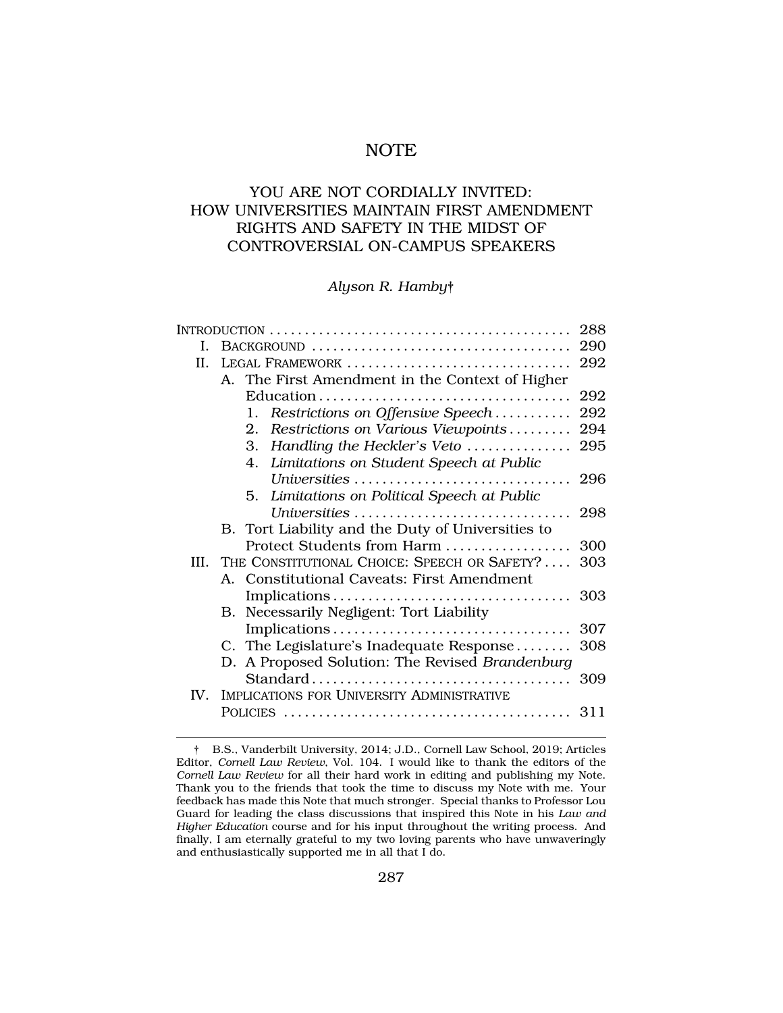# NOTE

# YOU ARE NOT CORDIALLY INVITED: HOW UNIVERSITIES MAINTAIN FIRST AMENDMENT RIGHTS AND SAFETY IN THE MIDST OF CONTROVERSIAL ON-CAMPUS SPEAKERS

## *Alyson R. Hamby*†

|                                                 | 288                                                                                                                                                                                                                                                                                                                                                                                   |
|-------------------------------------------------|---------------------------------------------------------------------------------------------------------------------------------------------------------------------------------------------------------------------------------------------------------------------------------------------------------------------------------------------------------------------------------------|
|                                                 | 290                                                                                                                                                                                                                                                                                                                                                                                   |
| LEGAL FRAMEWORK                                 | 292                                                                                                                                                                                                                                                                                                                                                                                   |
| A. The First Amendment in the Context of Higher |                                                                                                                                                                                                                                                                                                                                                                                       |
|                                                 | 292                                                                                                                                                                                                                                                                                                                                                                                   |
| Restrictions on Offensive Speech<br>1.          | 292                                                                                                                                                                                                                                                                                                                                                                                   |
| 2.<br>Restrictions on Various Viewpoints        | 294                                                                                                                                                                                                                                                                                                                                                                                   |
| 3.                                              | 295                                                                                                                                                                                                                                                                                                                                                                                   |
| Limitations on Student Speech at Public<br>4.   |                                                                                                                                                                                                                                                                                                                                                                                       |
|                                                 |                                                                                                                                                                                                                                                                                                                                                                                       |
| 5. Limitations on Political Speech at Public    |                                                                                                                                                                                                                                                                                                                                                                                       |
|                                                 | 298                                                                                                                                                                                                                                                                                                                                                                                   |
|                                                 |                                                                                                                                                                                                                                                                                                                                                                                       |
|                                                 | 300                                                                                                                                                                                                                                                                                                                                                                                   |
| THE CONSTITUTIONAL CHOICE: SPEECH OR SAFETY?    | 303                                                                                                                                                                                                                                                                                                                                                                                   |
|                                                 |                                                                                                                                                                                                                                                                                                                                                                                       |
|                                                 | 303                                                                                                                                                                                                                                                                                                                                                                                   |
|                                                 |                                                                                                                                                                                                                                                                                                                                                                                       |
|                                                 | 307                                                                                                                                                                                                                                                                                                                                                                                   |
|                                                 | 308                                                                                                                                                                                                                                                                                                                                                                                   |
|                                                 |                                                                                                                                                                                                                                                                                                                                                                                       |
|                                                 |                                                                                                                                                                                                                                                                                                                                                                                       |
|                                                 |                                                                                                                                                                                                                                                                                                                                                                                       |
|                                                 |                                                                                                                                                                                                                                                                                                                                                                                       |
|                                                 | Handling the Heckler's Veto<br>Universities<br>B. Tort Liability and the Duty of Universities to<br>Protect Students from Harm<br>A. Constitutional Caveats: First Amendment<br>B. Necessarily Negligent: Tort Liability<br>Implications<br>C. The Legislature's Inadequate Response<br>D. A Proposed Solution: The Revised Brandenburg<br>IMPLICATIONS FOR UNIVERSITY ADMINISTRATIVE |

<sup>†</sup> B.S., Vanderbilt University, 2014; J.D., Cornell Law School, 2019; Articles Editor, *Cornell Law Review*, Vol. 104. I would like to thank the editors of the *Cornell Law Review* for all their hard work in editing and publishing my Note. Thank you to the friends that took the time to discuss my Note with me. Your feedback has made this Note that much stronger. Special thanks to Professor Lou Guard for leading the class discussions that inspired this Note in his *Law and Higher Education* course and for his input throughout the writing process. And finally, I am eternally grateful to my two loving parents who have unwaveringly and enthusiastically supported me in all that I do.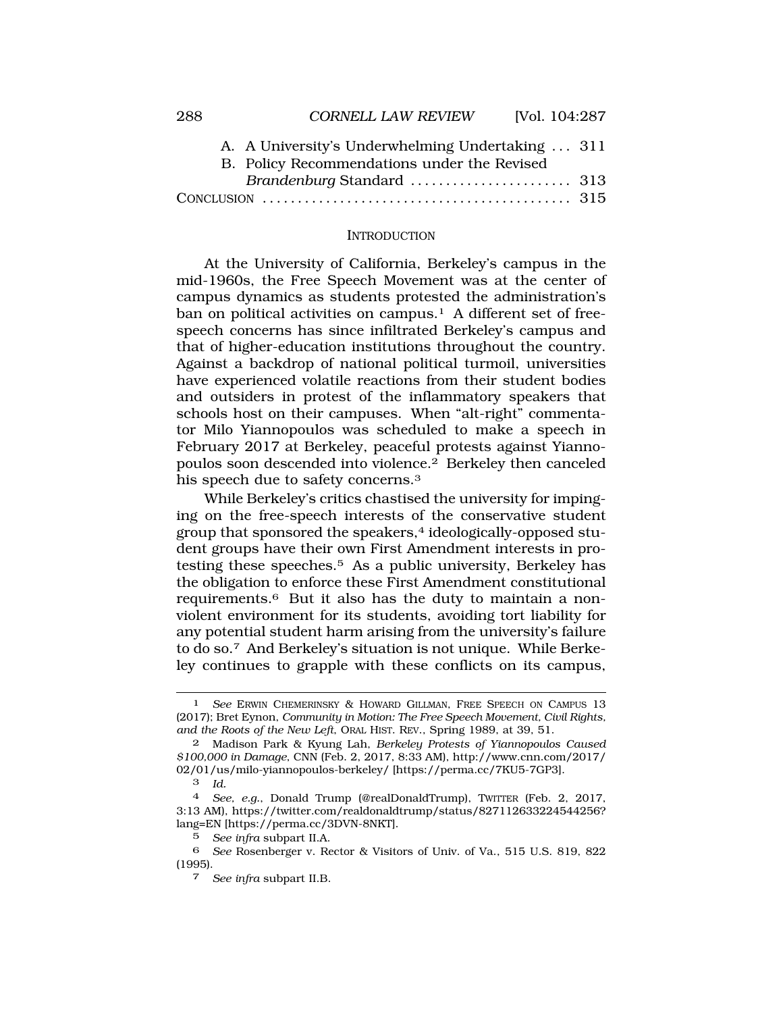<span id="page-1-0"></span>

| A. A University's Underwhelming Undertaking  311 |
|--------------------------------------------------|
|                                                  |
|                                                  |
|                                                  |
|                                                  |

#### **INTRODUCTION**

At the University of California, Berkeley's campus in the mid-1960s, the Free Speech Movement was at the center of campus dynamics as students protested the administration's ban on political activities on campus.<sup>1</sup> A different set of freespeech concerns has since infiltrated Berkeley's campus and that of higher-education institutions throughout the country. Against a backdrop of national political turmoil, universities have experienced volatile reactions from their student bodies and outsiders in protest of the inflammatory speakers that schools host on their campuses. When "alt-right" commentator Milo Yiannopoulos was scheduled to make a speech in February 2017 at Berkeley, peaceful protests against Yiannopoulos soon descended into violence.2 Berkeley then canceled his speech due to safety concerns.3

While Berkeley's critics chastised the university for impinging on the free-speech interests of the conservative student group that sponsored the speakers,<sup>4</sup> ideologically-opposed student groups have their own First Amendment interests in protesting these speeches.5 As a public university, Berkeley has the obligation to enforce these First Amendment constitutional requirements.6 But it also has the duty to maintain a nonviolent environment for its students, avoiding tort liability for any potential student harm arising from the university's failure to do so.7 And Berkeley's situation is not unique. While Berkeley continues to grapple with these conflicts on its campus,

<sup>1</sup> *See* ERWIN CHEMERINSKY & HOWARD GILLMAN, FREE SPEECH ON CAMPUS 13 (2017); Bret Eynon, *Community in Motion: The Free Speech Movement, Civil Rights, and the Roots of the New Left*, ORAL HIST. REV., Spring 1989, at 39, 51.

<sup>2</sup> Madison Park & Kyung Lah, *Berkeley Protests of Yiannopoulos Caused \$100,000 in Damage*, CNN (Feb. 2, 2017, 8:33 AM), http://www.cnn.com/2017/ 02/01/us/milo-yiannopoulos-berkeley/ [https://perma.cc/7KU5-7GP3].

<sup>3</sup> *Id.* 

<sup>4</sup> *See, e.g.*, Donald Trump (@realDonaldTrump), TWITTER (Feb. 2, 2017, 3:13 AM), https://twitter.com/realdonaldtrump/status/827112633224544256? lang=EN [https://perma.cc/3DVN-8NKT].

<sup>5</sup> *See infra* subpart II.A.

<sup>6</sup> *See* Rosenberger v. Rector & Visitors of Univ. of Va., 515 U.S. 819, 822 (1995).

<sup>7</sup> *See infra* subpart II.B.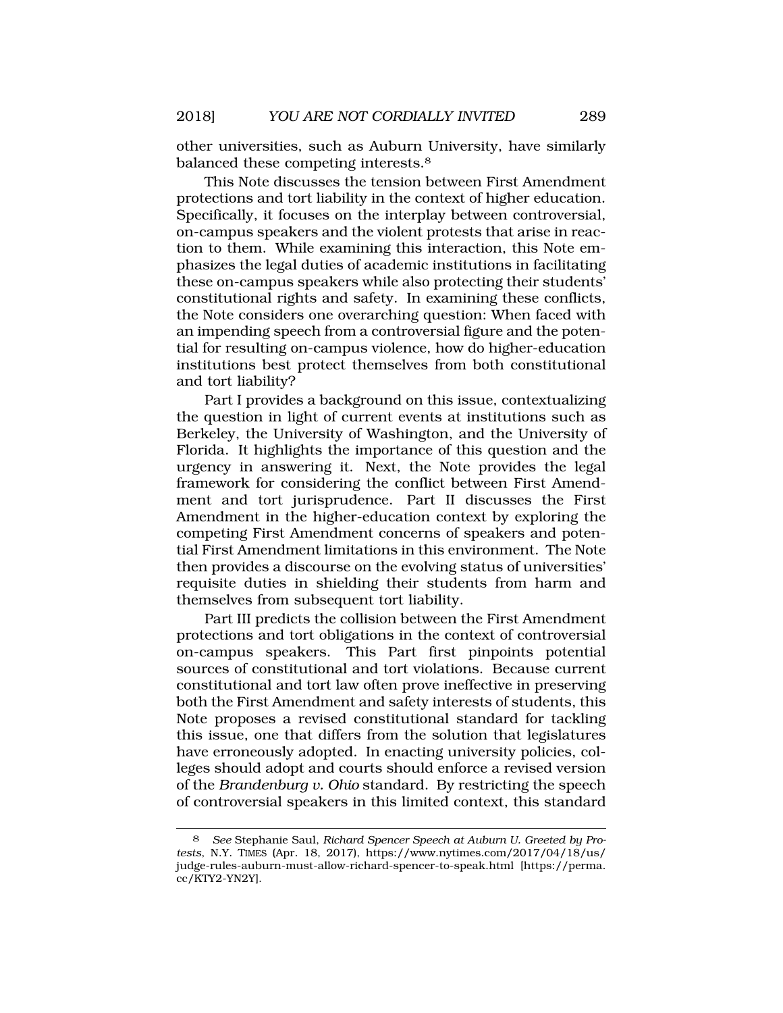other universities, such as Auburn University, have similarly balanced these competing interests.8

This Note discusses the tension between First Amendment protections and tort liability in the context of higher education. Specifically, it focuses on the interplay between controversial, on-campus speakers and the violent protests that arise in reaction to them. While examining this interaction, this Note emphasizes the legal duties of academic institutions in facilitating these on-campus speakers while also protecting their students' constitutional rights and safety. In examining these conflicts, the Note considers one overarching question: When faced with an impending speech from a controversial figure and the potential for resulting on-campus violence, how do higher-education institutions best protect themselves from both constitutional and tort liability?

Part I provides a background on this issue, contextualizing the question in light of current events at institutions such as Berkeley, the University of Washington, and the University of Florida. It highlights the importance of this question and the urgency in answering it. Next, the Note provides the legal framework for considering the conflict between First Amendment and tort jurisprudence. Part II discusses the First Amendment in the higher-education context by exploring the competing First Amendment concerns of speakers and potential First Amendment limitations in this environment. The Note then provides a discourse on the evolving status of universities' requisite duties in shielding their students from harm and themselves from subsequent tort liability.

Part III predicts the collision between the First Amendment protections and tort obligations in the context of controversial on-campus speakers. This Part first pinpoints potential sources of constitutional and tort violations. Because current constitutional and tort law often prove ineffective in preserving both the First Amendment and safety interests of students, this Note proposes a revised constitutional standard for tackling this issue, one that differs from the solution that legislatures have erroneously adopted. In enacting university policies, colleges should adopt and courts should enforce a revised version of the *Brandenburg v. Ohio* standard. By restricting the speech of controversial speakers in this limited context, this standard

<sup>8</sup> *See* Stephanie Saul, *Richard Spencer Speech at Auburn U. Greeted by Protests*, N.Y. TIMES (Apr. 18, 2017), https://www.nytimes.com/2017/04/18/us/ judge-rules-auburn-must-allow-richard-spencer-to-speak.html [https://perma. cc/KTY2-YN2Y].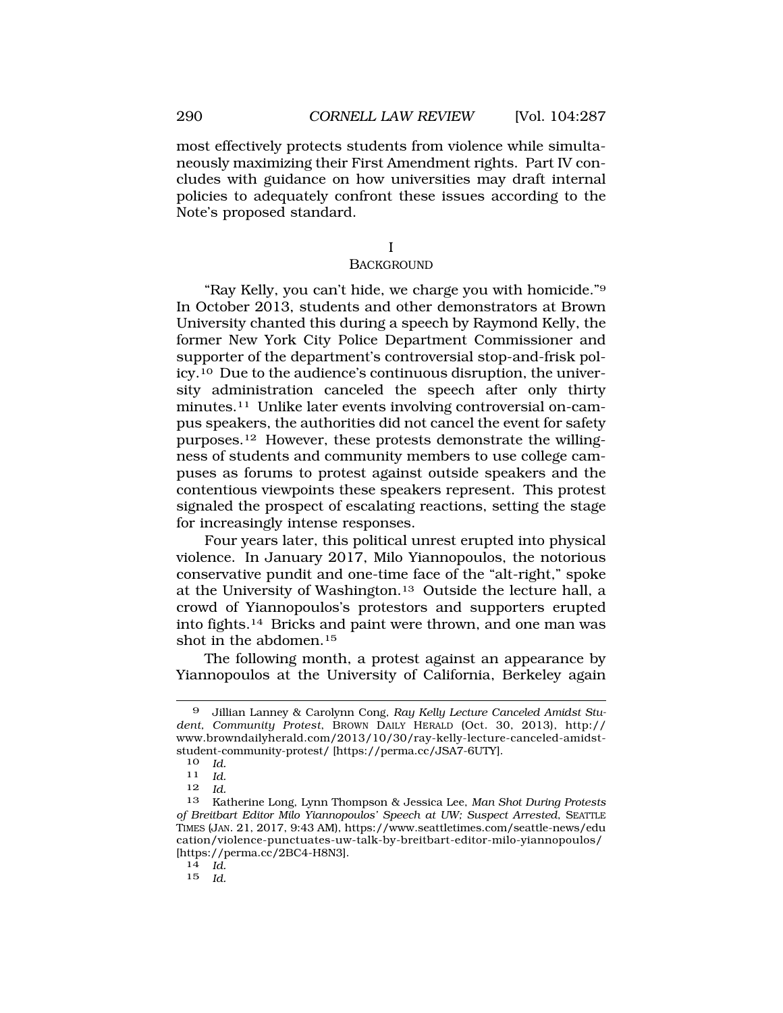most effectively protects students from violence while simultaneously maximizing their First Amendment rights. Part IV concludes with guidance on how universities may draft internal policies to adequately confront these issues according to the Note's proposed standard.

I

### **BACKGROUND**

"Ray Kelly, you can't hide, we charge you with homicide."9 In October 2013, students and other demonstrators at Brown University chanted this during a speech by Raymond Kelly, the former New York City Police Department Commissioner and supporter of the department's controversial stop-and-frisk policy.10 Due to the audience's continuous disruption, the university administration canceled the speech after only thirty minutes.11 Unlike later events involving controversial on-campus speakers, the authorities did not cancel the event for safety purposes.12 However, these protests demonstrate the willingness of students and community members to use college campuses as forums to protest against outside speakers and the contentious viewpoints these speakers represent. This protest signaled the prospect of escalating reactions, setting the stage for increasingly intense responses.

Four years later, this political unrest erupted into physical violence. In January 2017, Milo Yiannopoulos, the notorious conservative pundit and one-time face of the "alt-right," spoke at the University of Washington.13 Outside the lecture hall, a crowd of Yiannopoulos's protestors and supporters erupted into fights.14 Bricks and paint were thrown, and one man was shot in the abdomen.15

The following month, a protest against an appearance by Yiannopoulos at the University of California, Berkeley again

<sup>9</sup> Jillian Lanney & Carolynn Cong, *Ray Kelly Lecture Canceled Amidst Student, Community Protest*, BROWN DAILY HERALD (Oct. 30, 2013), http:// www.browndailyherald.com/2013/10/30/ray-kelly-lecture-canceled-amidststudent-community-protest/ [https://perma.cc/JSA7-6UTY].<br>10 Id

<sup>10</sup>*Id.* 11 *Id.* 

<sup>12</sup> *Id.* 

<sup>13</sup> Katherine Long, Lynn Thompson & Jessica Lee, *Man Shot During Protests of Breitbart Editor Milo Yiannopoulos' Speech at UW; Suspect Arrested*, SEATTLE TIMES (JAN. 21, 2017, 9:43 AM), https://www.seattletimes.com/seattle-news/edu cation/violence-punctuates-uw-talk-by-breitbart-editor-milo-yiannopoulos/ [https://perma.cc/2BC4-H8N3]. 14 *Id.* 

<sup>15</sup> *Id.*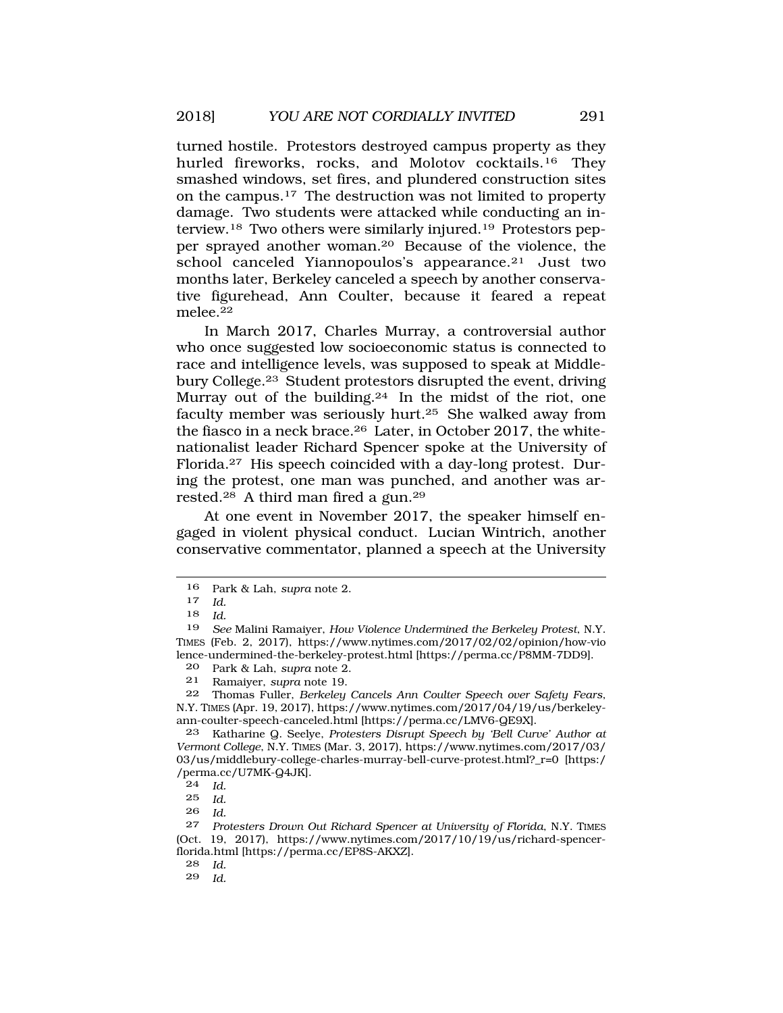turned hostile. Protestors destroyed campus property as they hurled fireworks, rocks, and Molotov cocktails.<sup>16</sup> They smashed windows, set fires, and plundered construction sites on the campus.17 The destruction was not limited to property damage. Two students were attacked while conducting an interview.18 Two others were similarly injured.19 Protestors pepper sprayed another woman.20 Because of the violence, the school canceled Yiannopoulos's appearance.21 Just two months later, Berkeley canceled a speech by another conservative figurehead, Ann Coulter, because it feared a repeat melee.22

In March 2017, Charles Murray, a controversial author who once suggested low socioeconomic status is connected to race and intelligence levels, was supposed to speak at Middlebury College.23 Student protestors disrupted the event, driving Murray out of the building.24 In the midst of the riot, one faculty member was seriously hurt.25 She walked away from the fiasco in a neck brace.26 Later, in October 2017, the whitenationalist leader Richard Spencer spoke at the University of Florida.27 His speech coincided with a day-long protest. During the protest, one man was punched, and another was arrested.28 A third man fired a gun.29

At one event in November 2017, the speaker himself engaged in violent physical conduct. Lucian Wintrich, another conservative commentator, planned a speech at the University

24 *Id.* 

<sup>16</sup> Park & Lah, *supra* note 2.

*Id.* 

<sup>18</sup> *Id.* 

<sup>19</sup> *See* Malini Ramaiyer, *How Violence Undermined the Berkeley Protest*, N.Y. TIMES (Feb. 2, 2017), https://www.nytimes.com/2017/02/02/opinion/how-vio lence-undermined-the-berkeley-protest.html [https://perma.cc/P8MM-7DD9].

<sup>20</sup> Park & Lah, *supra* note 2.

<sup>21</sup> Ramaiyer, *supra* note 19.

<sup>22</sup> Thomas Fuller, *Berkeley Cancels Ann Coulter Speech over Safety Fears*, N.Y. TIMES (Apr. 19, 2017), https://www.nytimes.com/2017/04/19/us/berkeleyann-coulter-speech-canceled.html [https://perma.cc/LMV6-QE9X].

<sup>23</sup> Katharine Q. Seelye, *Protesters Disrupt Speech by 'Bell Curve' Author at Vermont College*, N.Y. TIMES (Mar. 3, 2017), https://www.nytimes.com/2017/03/ 03/us/middlebury-college-charles-murray-bell-curve-protest.html?\_r=0 [https:/ /perma.cc/U7MK-Q4JK].

<sup>25</sup> *Id.* 

<sup>26</sup> *Id.* 

<sup>27</sup> *Protesters Drown Out Richard Spencer at University of Florida*, N.Y. TIMES (Oct. 19, 2017), https://www.nytimes.com/2017/10/19/us/richard-spencerflorida.html [https://perma.cc/EP8S-AKXZ].

<sup>28</sup> *Id.* 

*Id.*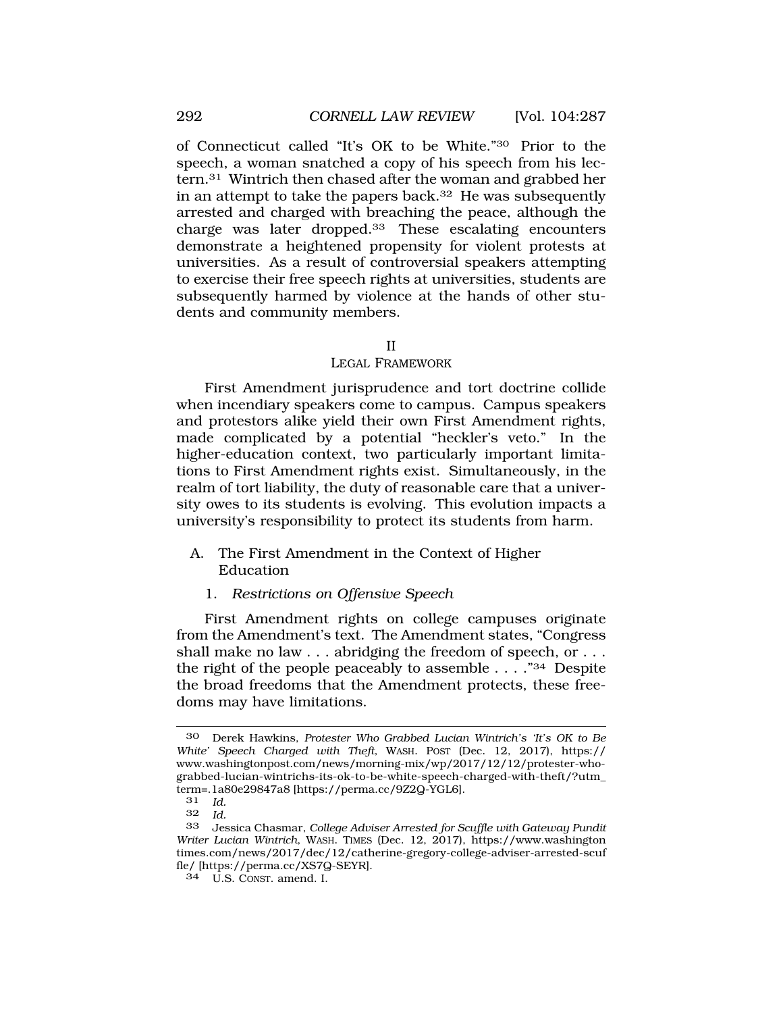of Connecticut called "It's OK to be White."30 Prior to the speech, a woman snatched a copy of his speech from his lectern.31 Wintrich then chased after the woman and grabbed her in an attempt to take the papers back. $32$  He was subsequently arrested and charged with breaching the peace, although the charge was later dropped.33 These escalating encounters demonstrate a heightened propensity for violent protests at universities. As a result of controversial speakers attempting to exercise their free speech rights at universities, students are subsequently harmed by violence at the hands of other students and community members.

#### II

#### LEGAL FRAMEWORK

First Amendment jurisprudence and tort doctrine collide when incendiary speakers come to campus. Campus speakers and protestors alike yield their own First Amendment rights, made complicated by a potential "heckler's veto." In the higher-education context, two particularly important limitations to First Amendment rights exist. Simultaneously, in the realm of tort liability, the duty of reasonable care that a university owes to its students is evolving. This evolution impacts a university's responsibility to protect its students from harm.

### A. The First Amendment in the Context of Higher Education

# 1. *Restrictions on Offensive Speech*

First Amendment rights on college campuses originate from the Amendment's text. The Amendment states, "Congress shall make no law . . . abridging the freedom of speech, or . . . the right of the people peaceably to assemble  $\ldots$  ."<sup>34</sup> Despite the broad freedoms that the Amendment protects, these freedoms may have limitations.

<sup>30</sup> Derek Hawkins, *Protester Who Grabbed Lucian Wintrich's 'It's OK to Be White' Speech Charged with Theft*, WASH. POST (Dec. 12, 2017), https:// www.washingtonpost.com/news/morning-mix/wp/2017/12/12/protester-whograbbed-lucian-wintrichs-its-ok-to-be-white-speech-charged-with-theft/?utm\_ term=.1a80e29847a8 [https://perma.cc/9Z2Q-YGL6].<br> $31$  Id

<sup>31</sup> *Id.* 

 $Id$ 

<sup>33</sup> Jessica Chasmar, *College Adviser Arrested for Scuffle with Gateway Pundit Writer Lucian Wintrich*, WASH. TIMES (Dec. 12, 2017), https://www.washington times.com/news/2017/dec/12/catherine-gregory-college-adviser-arrested-scuf fle/ [https://perma.cc/XS7Q-SEYR].

<sup>34</sup> U.S. CONST. amend. I.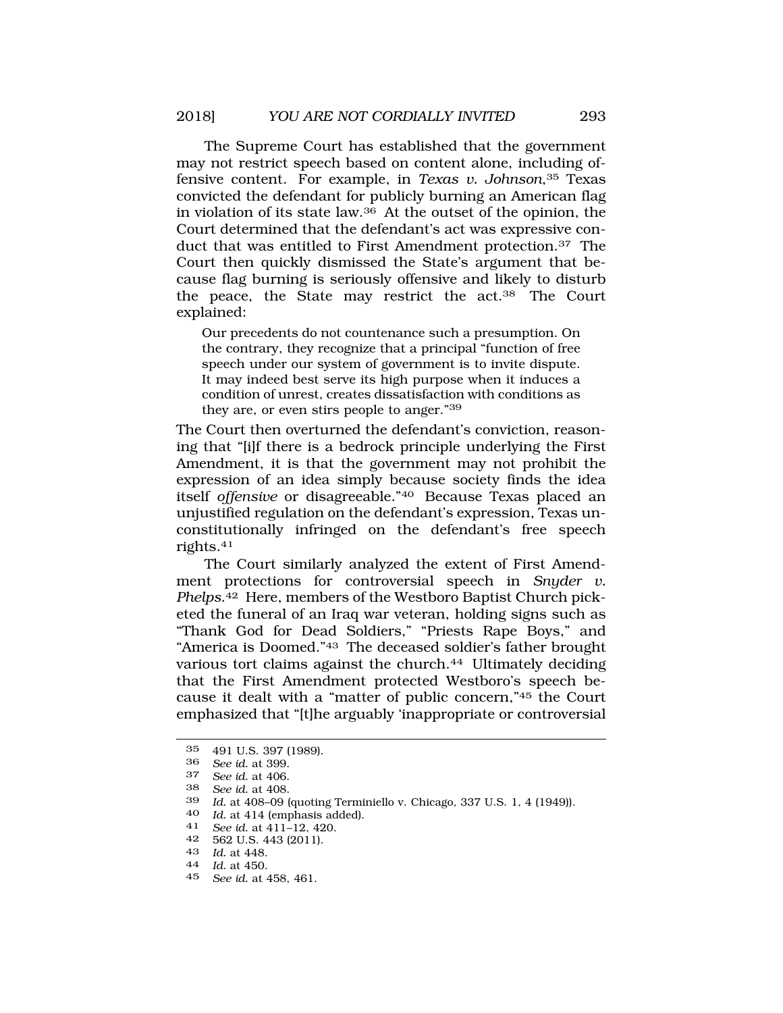The Supreme Court has established that the government may not restrict speech based on content alone, including offensive content. For example, in *Texas v. Johnson*,35 Texas convicted the defendant for publicly burning an American flag in violation of its state law.36 At the outset of the opinion, the Court determined that the defendant's act was expressive conduct that was entitled to First Amendment protection.37 The Court then quickly dismissed the State's argument that because flag burning is seriously offensive and likely to disturb the peace, the State may restrict the act.38 The Court explained:

Our precedents do not countenance such a presumption. On the contrary, they recognize that a principal "function of free speech under our system of government is to invite dispute. It may indeed best serve its high purpose when it induces a condition of unrest, creates dissatisfaction with conditions as they are, or even stirs people to anger."39

The Court then overturned the defendant's conviction, reasoning that "[i]f there is a bedrock principle underlying the First Amendment, it is that the government may not prohibit the expression of an idea simply because society finds the idea itself *offensive* or disagreeable."40 Because Texas placed an unjustified regulation on the defendant's expression, Texas unconstitutionally infringed on the defendant's free speech rights.41

The Court similarly analyzed the extent of First Amendment protections for controversial speech in *Snyder v. Phelps*.42 Here, members of the Westboro Baptist Church picketed the funeral of an Iraq war veteran, holding signs such as "Thank God for Dead Soldiers," "Priests Rape Boys," and "America is Doomed."43 The deceased soldier's father brought various tort claims against the church.<sup>44</sup> Ultimately deciding that the First Amendment protected Westboro's speech because it dealt with a "matter of public concern,"45 the Court emphasized that "[t]he arguably 'inappropriate or controversial

45 *See id.* at 458, 461.

<sup>35 491</sup> U.S. 397 (1989).<br>36 See id at 399

<sup>36</sup> *See id.* at 399.

<sup>37</sup> *See id.* at 406.

<sup>38</sup> *See id.* at 408.

Id. at 408-09 (quoting Terminiello v. Chicago, 337 U.S. 1, 4 (1949)).

<sup>40</sup>*Id.* at 414 (emphasis added). 41 *See id.* at 411–12, 420.

<sup>42 562</sup> U.S. 443 (2011).

<sup>43</sup>*Id.* at 448. 44 *Id.* at 450.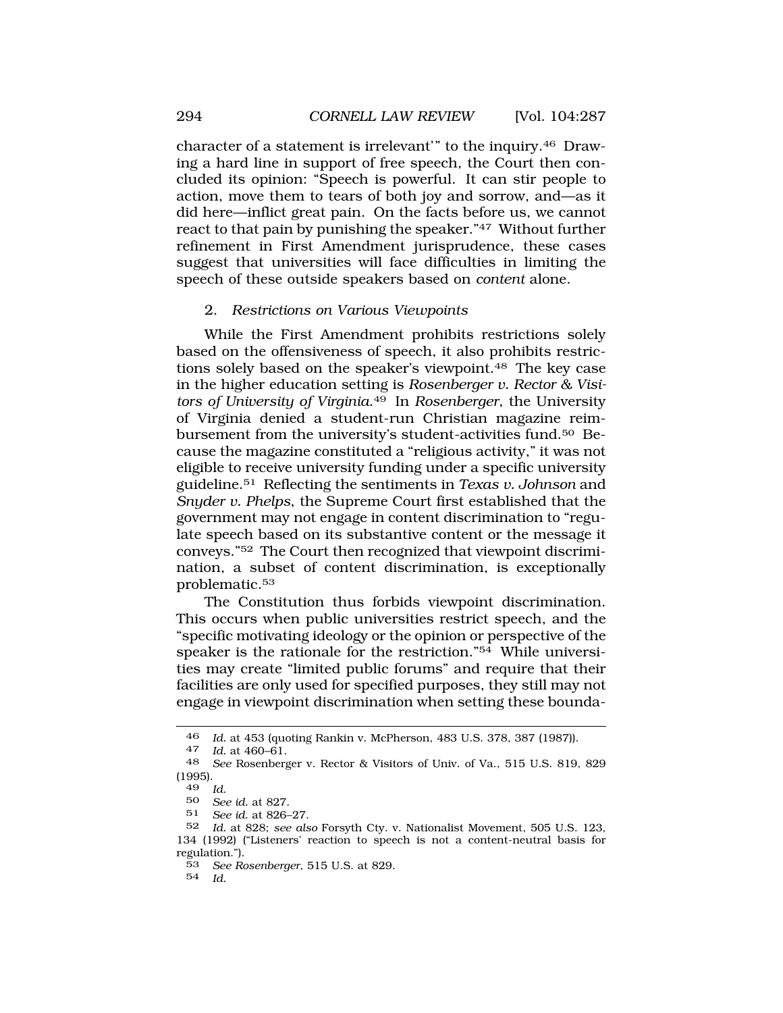<span id="page-7-0"></span>character of a statement is irrelevant" to the inquiry.<sup>46</sup> Drawing a hard line in support of free speech, the Court then concluded its opinion: "Speech is powerful. It can stir people to action, move them to tears of both joy and sorrow, and—as it did here—inflict great pain. On the facts before us, we cannot react to that pain by punishing the speaker."47 Without further refinement in First Amendment jurisprudence, these cases suggest that universities will face difficulties in limiting the speech of these outside speakers based on *content* alone.

### 2. *Restrictions on Various Viewpoints*

While the First Amendment prohibits restrictions solely based on the offensiveness of speech, it also prohibits restrictions solely based on the speaker's viewpoint.48 The key case in the higher education setting is *Rosenberger v. Rector & Visitors of University of Virginia*.49 In *Rosenberger*, the University of Virginia denied a student-run Christian magazine reimbursement from the university's student-activities fund.50 Because the magazine constituted a "religious activity," it was not eligible to receive university funding under a specific university guideline.51 Reflecting the sentiments in *Texas v. Johnson* and *Snyder v. Phelps*, the Supreme Court first established that the government may not engage in content discrimination to "regulate speech based on its substantive content or the message it conveys."52 The Court then recognized that viewpoint discrimination, a subset of content discrimination, is exceptionally problematic.53

The Constitution thus forbids viewpoint discrimination. This occurs when public universities restrict speech, and the "specific motivating ideology or the opinion or perspective of the speaker is the rationale for the restriction."54 While universities may create "limited public forums" and require that their facilities are only used for specified purposes, they still may not engage in viewpoint discrimination when setting these bounda-

<sup>46</sup>*Id.* at 453 (quoting Rankin v. McPherson, 483 U.S. 378, 387 (1987)). 47 *Id.* at 460–61.

<sup>48</sup> *See* Rosenberger v. Rector & Visitors of Univ. of Va., 515 U.S. 819, 829  $(1995).$ <br> $49$  Id.

<sup>49</sup>*Id*. 50 *See id.* at 827.

<sup>51</sup> *See id.* at 826–27.

<sup>52</sup> *Id.* at 828; *see also* Forsyth Cty. v. Nationalist Movement, 505 U.S. 123, 134 (1992) ("Listeners' reaction to speech is not a content-neutral basis for regulation.").

<sup>53</sup> *See Rosenberger*, 515 U.S. at 829.

<sup>54</sup> *Id.*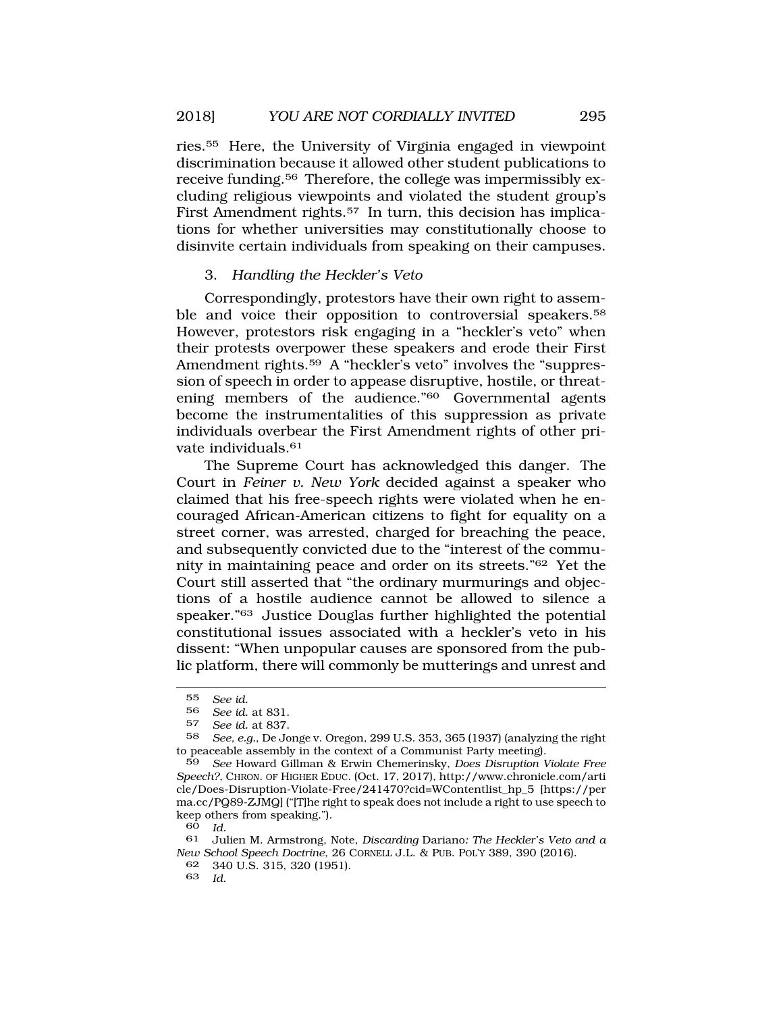ries.55 Here, the University of Virginia engaged in viewpoint discrimination because it allowed other student publications to receive funding.56 Therefore, the college was impermissibly excluding religious viewpoints and violated the student group's First Amendment rights.57 In turn, this decision has implications for whether universities may constitutionally choose to disinvite certain individuals from speaking on their campuses.

# 3. *Handling the Heckler's Veto*

Correspondingly, protestors have their own right to assemble and voice their opposition to controversial speakers.<sup>58</sup> However, protestors risk engaging in a "heckler's veto" when their protests overpower these speakers and erode their First Amendment rights.<sup>59</sup> A "heckler's veto" involves the "suppression of speech in order to appease disruptive, hostile, or threatening members of the audience."60 Governmental agents become the instrumentalities of this suppression as private individuals overbear the First Amendment rights of other private individuals.61

The Supreme Court has acknowledged this danger. The Court in *Feiner v. New York* decided against a speaker who claimed that his free-speech rights were violated when he encouraged African-American citizens to fight for equality on a street corner, was arrested, charged for breaching the peace, and subsequently convicted due to the "interest of the community in maintaining peace and order on its streets."62 Yet the Court still asserted that "the ordinary murmurings and objections of a hostile audience cannot be allowed to silence a speaker."63 Justice Douglas further highlighted the potential constitutional issues associated with a heckler's veto in his dissent: "When unpopular causes are sponsored from the public platform, there will commonly be mutterings and unrest and

<sup>55</sup> *See id.* 

<sup>56</sup> *See id.* at 831.

See id. at 837.

<sup>58</sup> *See, e.g.*, De Jonge v. Oregon, 299 U.S. 353, 365 (1937) (analyzing the right to peaceable assembly in the context of a Communist Party meeting).

<sup>59</sup> *See* Howard Gillman & Erwin Chemerinsky, *Does Disruption Violate Free Speech?*, CHRON. OF HIGHER EDUC. (Oct. 17, 2017), http://www.chronicle.com/arti cle/Does-Disruption-Violate-Free/241470?cid=WContentlist\_hp\_5 [https://per ma.cc/PQ89-ZJMQ] ("[T]he right to speak does not include a right to use speech to keep others from speaking.").

<sup>60</sup> *Id.* 

<sup>61</sup> Julien M. Armstrong, Note, *Discarding* Dariano*: The Heckler's Veto and a New School Speech Doctrine*, 26 CORNELL J.L. & PUB. POL'Y 389, 390 (2016).

<sup>62 340</sup> U.S. 315, 320 (1951).

<sup>63</sup> *Id.*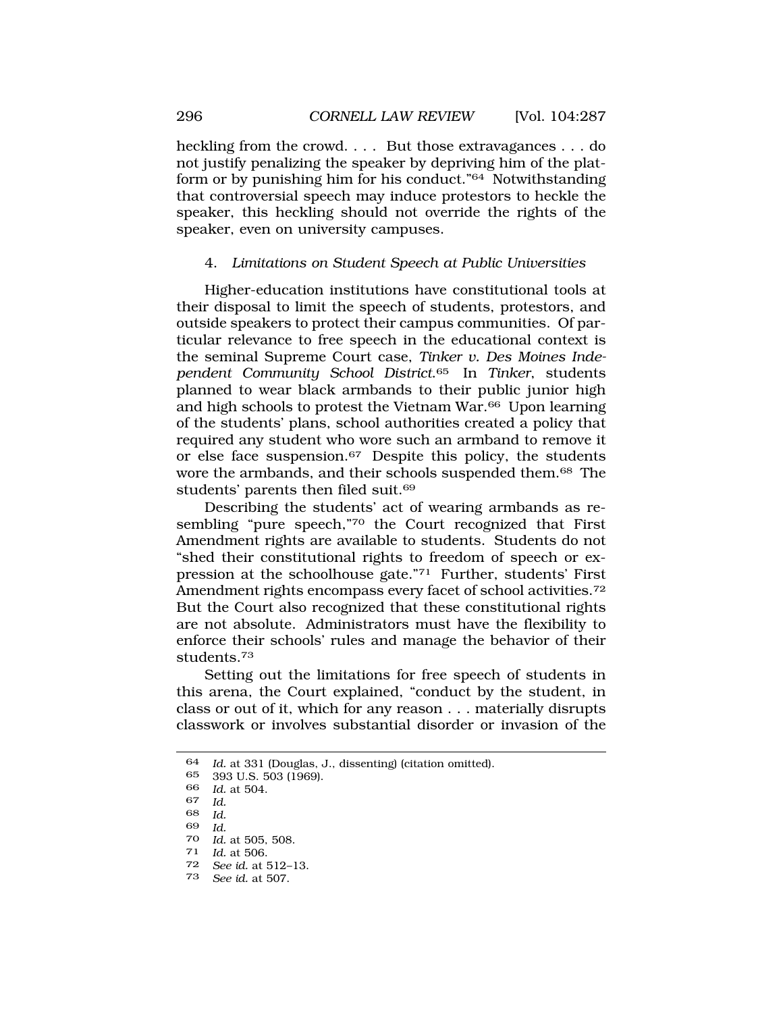<span id="page-9-0"></span>heckling from the crowd. . . . But those extravagances . . . do not justify penalizing the speaker by depriving him of the platform or by punishing him for his conduct."64 Notwithstanding that controversial speech may induce protestors to heckle the speaker, this heckling should not override the rights of the speaker, even on university campuses.

# 4. *Limitations on Student Speech at Public Universities*

Higher-education institutions have constitutional tools at their disposal to limit the speech of students, protestors, and outside speakers to protect their campus communities. Of particular relevance to free speech in the educational context is the seminal Supreme Court case, *Tinker v. Des Moines Independent Community School District*.65 In *Tinker*, students planned to wear black armbands to their public junior high and high schools to protest the Vietnam War.66 Upon learning of the students' plans, school authorities created a policy that required any student who wore such an armband to remove it or else face suspension.67 Despite this policy, the students wore the armbands, and their schools suspended them.68 The students' parents then filed suit.<sup>69</sup>

Describing the students' act of wearing armbands as resembling "pure speech,"70 the Court recognized that First Amendment rights are available to students. Students do not "shed their constitutional rights to freedom of speech or expression at the schoolhouse gate."71 Further, students' First Amendment rights encompass every facet of school activities.72 But the Court also recognized that these constitutional rights are not absolute. Administrators must have the flexibility to enforce their schools' rules and manage the behavior of their students.73

Setting out the limitations for free speech of students in this arena, the Court explained, "conduct by the student, in class or out of it, which for any reason . . . materially disrupts classwork or involves substantial disorder or invasion of the

<sup>64</sup> *Id.* at 331 (Douglas, J., dissenting) (citation omitted).

<sup>65 393</sup> U.S. 503 (1969).

<sup>66</sup> *Id.* at 504.

<sup>67</sup> *Id.* 

 $Id$ 

<sup>69</sup> *Id.* 

<sup>70</sup>*Id.* at 505, 508. 71 *Id.* at 506.

<sup>72</sup> *See id.* at 512–13.

<sup>73</sup> *See id.* at 507.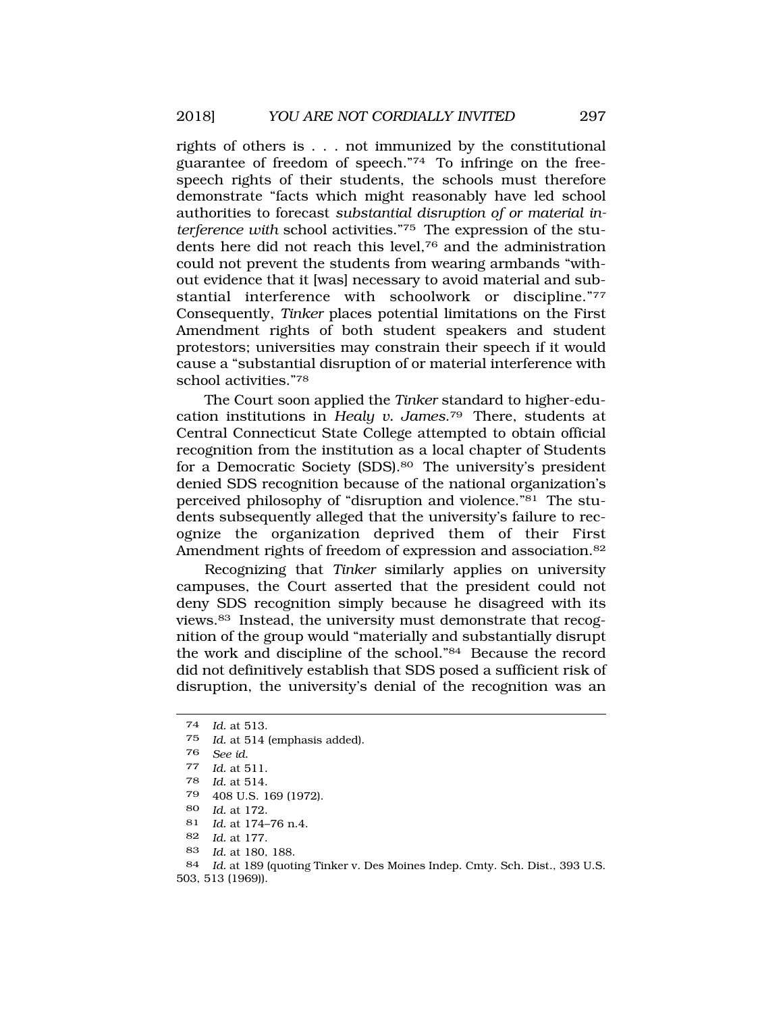rights of others is . . . not immunized by the constitutional guarantee of freedom of speech."74 To infringe on the freespeech rights of their students, the schools must therefore demonstrate "facts which might reasonably have led school authorities to forecast *substantial disruption of or material interference with* school activities."75 The expression of the students here did not reach this level,76 and the administration could not prevent the students from wearing armbands "without evidence that it [was] necessary to avoid material and substantial interference with schoolwork or discipline."77 Consequently, *Tinker* places potential limitations on the First Amendment rights of both student speakers and student protestors; universities may constrain their speech if it would cause a "substantial disruption of or material interference with school activities."78

The Court soon applied the *Tinker* standard to higher-education institutions in *Healy v. James*.79 There, students at Central Connecticut State College attempted to obtain official recognition from the institution as a local chapter of Students for a Democratic Society (SDS).80 The university's president denied SDS recognition because of the national organization's perceived philosophy of "disruption and violence."<sup>81</sup> The students subsequently alleged that the university's failure to recognize the organization deprived them of their First Amendment rights of freedom of expression and association.<sup>82</sup>

Recognizing that *Tinker* similarly applies on university campuses, the Court asserted that the president could not deny SDS recognition simply because he disagreed with its views.83 Instead, the university must demonstrate that recognition of the group would "materially and substantially disrupt the work and discipline of the school."84 Because the record did not definitively establish that SDS posed a sufficient risk of disruption, the university's denial of the recognition was an

74 *Id.* at 513.

<sup>75</sup> *Id.* at 514 (emphasis added).

<sup>76</sup> *See id.* 

<sup>77</sup> *Id.* at 511.

<sup>78</sup> *Id.* at 514.

<sup>79 408</sup> U.S. 169 (1972).

<sup>80</sup> *Id.* at 172.

<sup>81</sup> *Id.* at 174–76 n.4.

<sup>82</sup> *Id.* at 177.

<sup>83</sup> *Id.* at 180, 188.

<sup>84</sup> *Id.* at 189 (quoting Tinker v. Des Moines Indep. Cmty. Sch. Dist., 393 U.S. 503, 513 (1969)).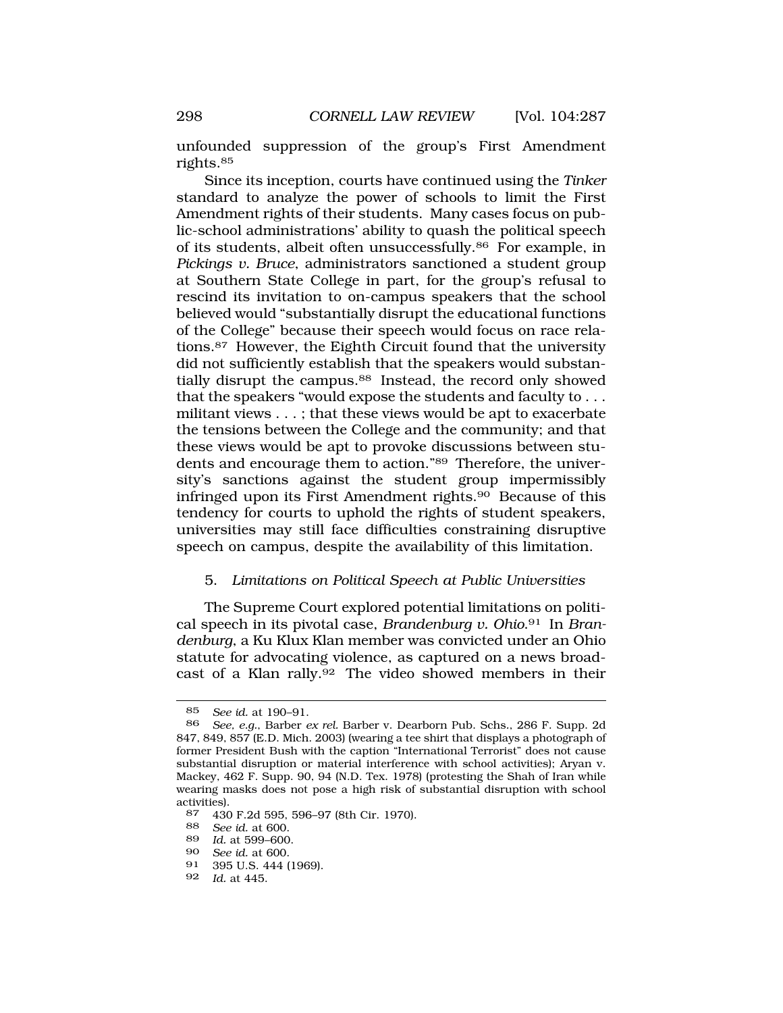<span id="page-11-0"></span>unfounded suppression of the group's First Amendment rights.85

Since its inception, courts have continued using the *Tinker*  standard to analyze the power of schools to limit the First Amendment rights of their students. Many cases focus on public-school administrations' ability to quash the political speech of its students, albeit often unsuccessfully.86 For example, in *Pickings v. Bruce*, administrators sanctioned a student group at Southern State College in part, for the group's refusal to rescind its invitation to on-campus speakers that the school believed would "substantially disrupt the educational functions of the College" because their speech would focus on race relations.87 However, the Eighth Circuit found that the university did not sufficiently establish that the speakers would substantially disrupt the campus.<sup>88</sup> Instead, the record only showed that the speakers "would expose the students and faculty to . . . militant views . . . ; that these views would be apt to exacerbate the tensions between the College and the community; and that these views would be apt to provoke discussions between students and encourage them to action."89 Therefore, the university's sanctions against the student group impermissibly infringed upon its First Amendment rights.90 Because of this tendency for courts to uphold the rights of student speakers, universities may still face difficulties constraining disruptive speech on campus, despite the availability of this limitation.

### 5. *Limitations on Political Speech at Public Universities*

The Supreme Court explored potential limitations on political speech in its pivotal case, *Brandenburg v. Ohio*.91 In *Brandenburg*, a Ku Klux Klan member was convicted under an Ohio statute for advocating violence, as captured on a news broadcast of a Klan rally.92 The video showed members in their

<sup>85</sup> *See id.* at 190–91.

<sup>86</sup> *See, e.g.*, Barber *ex rel.* Barber v. Dearborn Pub. Schs*.*, 286 F. Supp. 2d 847, 849, 857 (E.D. Mich. 2003) (wearing a tee shirt that displays a photograph of former President Bush with the caption "International Terrorist" does not cause substantial disruption or material interference with school activities); Aryan v. Mackey, 462 F. Supp. 90, 94 (N.D. Tex. 1978) (protesting the Shah of Iran while wearing masks does not pose a high risk of substantial disruption with school activities).<br>87 430

<sup>87 430</sup> F.2d 595, 596–97 (8th Cir. 1970).

<sup>88</sup> *See id.* at 600.

<sup>89</sup> *Id.* at 599–600.

<sup>90</sup> *See id.* at 600.

<sup>91 395</sup> U.S. 444 (1969).

<sup>92</sup> *Id.* at 445.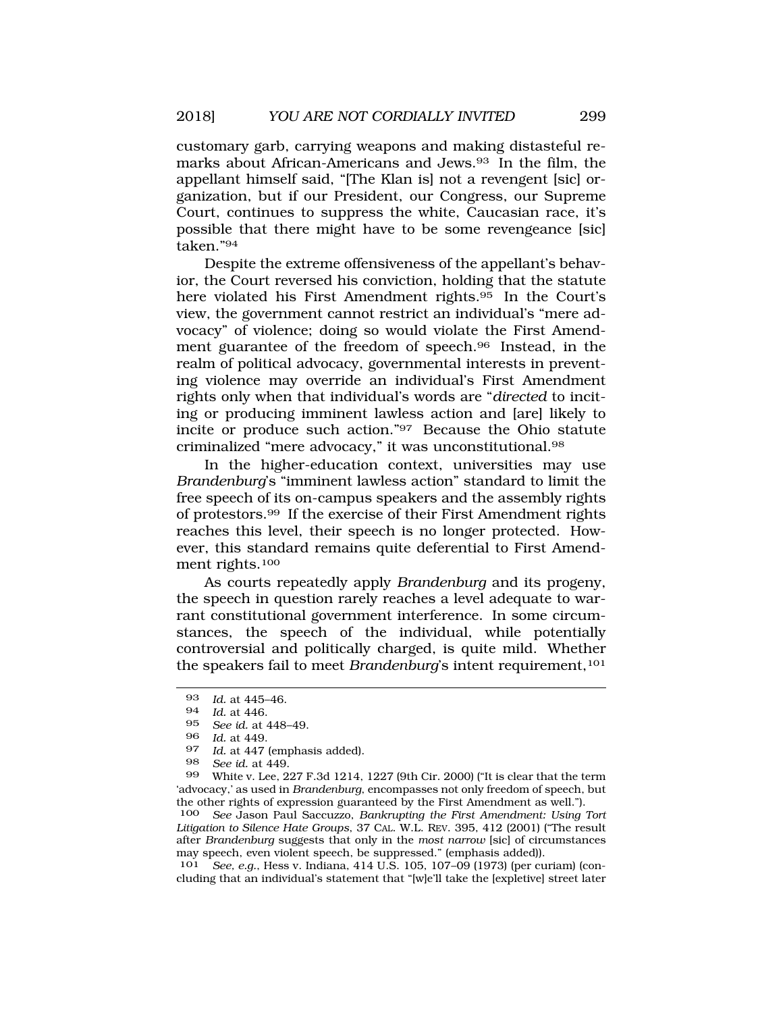customary garb, carrying weapons and making distasteful remarks about African-Americans and Jews.93 In the film, the appellant himself said, "[The Klan is] not a revengent [sic] organization, but if our President, our Congress, our Supreme Court, continues to suppress the white, Caucasian race, it's possible that there might have to be some revengeance [sic] taken."94

Despite the extreme offensiveness of the appellant's behavior, the Court reversed his conviction, holding that the statute here violated his First Amendment rights.95 In the Court's view, the government cannot restrict an individual's "mere advocacy" of violence; doing so would violate the First Amendment guarantee of the freedom of speech.96 Instead, in the realm of political advocacy, governmental interests in preventing violence may override an individual's First Amendment rights only when that individual's words are "*directed* to inciting or producing imminent lawless action and [are] likely to incite or produce such action."97 Because the Ohio statute criminalized "mere advocacy," it was unconstitutional.98

In the higher-education context, universities may use *Brandenburg*'s "imminent lawless action" standard to limit the free speech of its on-campus speakers and the assembly rights of protestors.99 If the exercise of their First Amendment rights reaches this level, their speech is no longer protected. However, this standard remains quite deferential to First Amendment rights.100

As courts repeatedly apply *Brandenburg* and its progeny, the speech in question rarely reaches a level adequate to warrant constitutional government interference. In some circumstances, the speech of the individual, while potentially controversial and politically charged, is quite mild. Whether the speakers fail to meet *Brandenburg*'s intent requirement,<sup>101</sup>

99 White v. Lee, 227 F.3d 1214, 1227 (9th Cir. 2000) ("It is clear that the term 'advocacy,' as used in *Brandenburg*, encompasses not only freedom of speech, but the other rights of expression guaranteed by the First Amendment as well.").<br>100 See Jason Paul Saccuzzo, Bankrupting the First Amendment: Using

See Jason Paul Saccuzzo, *Bankrupting the First Amendment: Using Tort Litigation to Silence Hate Groups*, 37 CAL. W.L. REV. 395, 412 (2001) ("The result after *Brandenburg* suggests that only in the *most narrow* [sic] of circumstances may speech, even violent speech, be suppressed." (emphasis added)).

101 *See, e.g.*, Hess v. Indiana, 414 U.S. 105, 107–09 (1973) (per curiam) (concluding that an individual's statement that "[w]e'll take the [expletive] street later

<sup>93</sup> *Id.* at 445–46.

<sup>94</sup> *Id.* at 446.

<sup>95</sup> *See id.* at 448–49.

<sup>96</sup> *Id.* at 449.

<sup>97</sup> *Id.* at 447 (emphasis added).<br>98 *See id at 449* 

<sup>98</sup> *See id.* at 449.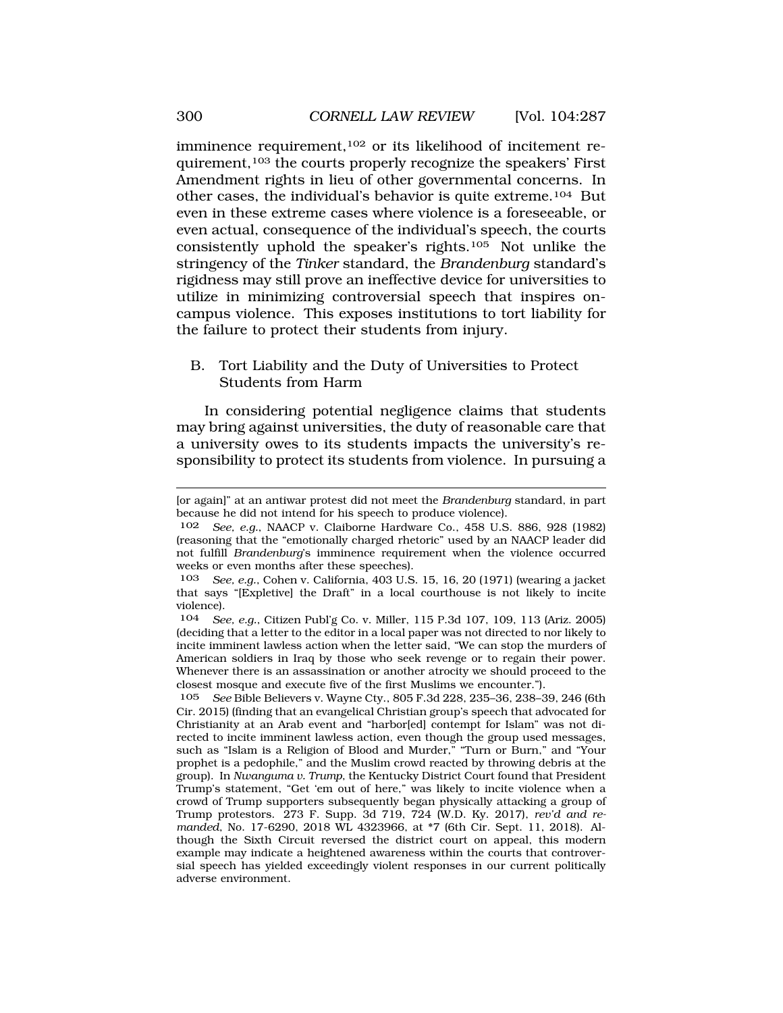<span id="page-13-0"></span>imminence requirement,102 or its likelihood of incitement requirement,103 the courts properly recognize the speakers' First Amendment rights in lieu of other governmental concerns. In other cases, the individual's behavior is quite extreme.104 But even in these extreme cases where violence is a foreseeable, or even actual, consequence of the individual's speech, the courts consistently uphold the speaker's rights.105 Not unlike the stringency of the *Tinker* standard, the *Brandenburg* standard's rigidness may still prove an ineffective device for universities to utilize in minimizing controversial speech that inspires oncampus violence. This exposes institutions to tort liability for the failure to protect their students from injury.

# B. Tort Liability and the Duty of Universities to Protect Students from Harm

In considering potential negligence claims that students may bring against universities, the duty of reasonable care that a university owes to its students impacts the university's responsibility to protect its students from violence. In pursuing a

<sup>[</sup>or again]" at an antiwar protest did not meet the *Brandenburg* standard, in part because he did not intend for his speech to produce violence).

<sup>102</sup> *See, e.g.*, NAACP v. Claiborne Hardware Co., 458 U.S. 886, 928 (1982) (reasoning that the "emotionally charged rhetoric" used by an NAACP leader did not fulfill *Brandenburg*'s imminence requirement when the violence occurred weeks or even months after these speeches).

<sup>103</sup> *See, e.g.*, Cohen v. California, 403 U.S. 15, 16, 20 (1971) (wearing a jacket that says "[Expletive] the Draft" in a local courthouse is not likely to incite violence).<br> $104 \quad Se$ 

<sup>104</sup> *See, e.g.*, Citizen Publ'g Co. v. Miller, 115 P.3d 107, 109, 113 (Ariz. 2005) (deciding that a letter to the editor in a local paper was not directed to nor likely to incite imminent lawless action when the letter said, "We can stop the murders of American soldiers in Iraq by those who seek revenge or to regain their power. Whenever there is an assassination or another atrocity we should proceed to the closest mosque and execute five of the first Muslims we encounter.").

<sup>105</sup> *See* Bible Believers v. Wayne Cty., 805 F.3d 228, 235–36, 238–39, 246 (6th Cir. 2015) (finding that an evangelical Christian group's speech that advocated for Christianity at an Arab event and "harbor[ed] contempt for Islam" was not directed to incite imminent lawless action, even though the group used messages, such as "Islam is a Religion of Blood and Murder," "Turn or Burn," and "Your prophet is a pedophile," and the Muslim crowd reacted by throwing debris at the group). In *Nwanguma v. Trump*, the Kentucky District Court found that President Trump's statement, "Get 'em out of here," was likely to incite violence when a crowd of Trump supporters subsequently began physically attacking a group of Trump protestors. 273 F. Supp. 3d 719, 724 (W.D. Ky. 2017), *rev'd and remanded*, No. 17-6290, 2018 WL 4323966, at \*7 (6th Cir. Sept. 11, 2018). Although the Sixth Circuit reversed the district court on appeal, this modern example may indicate a heightened awareness within the courts that controversial speech has yielded exceedingly violent responses in our current politically adverse environment.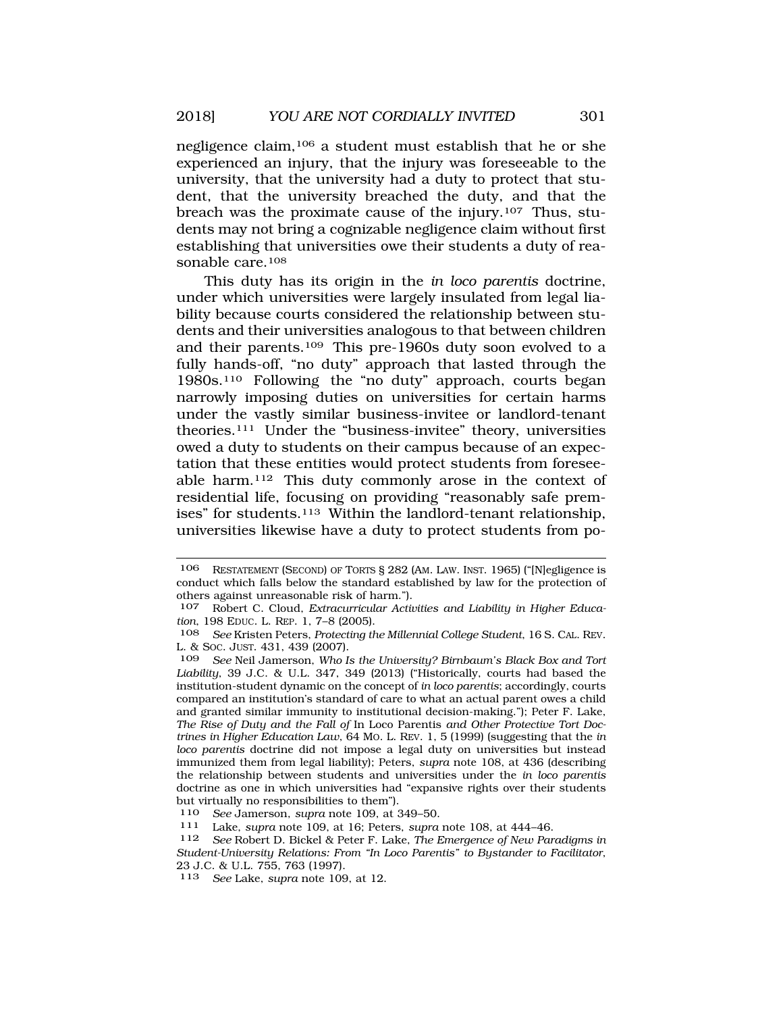negligence claim,106 a student must establish that he or she experienced an injury, that the injury was foreseeable to the university, that the university had a duty to protect that student, that the university breached the duty, and that the breach was the proximate cause of the injury.107 Thus, students may not bring a cognizable negligence claim without first establishing that universities owe their students a duty of reasonable care.<sup>108</sup>

This duty has its origin in the *in loco parentis* doctrine, under which universities were largely insulated from legal liability because courts considered the relationship between students and their universities analogous to that between children and their parents.109 This pre-1960s duty soon evolved to a fully hands-off, "no duty" approach that lasted through the 1980s.110 Following the "no duty" approach, courts began narrowly imposing duties on universities for certain harms under the vastly similar business-invitee or landlord-tenant theories.111 Under the "business-invitee" theory, universities owed a duty to students on their campus because of an expectation that these entities would protect students from foreseeable harm.112 This duty commonly arose in the context of residential life, focusing on providing "reasonably safe premises" for students.113 Within the landlord-tenant relationship, universities likewise have a duty to protect students from po-

See Robert D. Bickel & Peter F. Lake, *The Emergence of New Paradigms in Student-University Relations: From "In Loco Parentis" to Bystander to Facilitator*, 23 J.C. & U.L. 755, 763 (1997).

<sup>106</sup> RESTATEMENT (SECOND) OF TORTS § 282 (AM. LAW. INST. 1965) ("[N]egligence is conduct which falls below the standard established by law for the protection of others against unreasonable risk of harm.").

<sup>107</sup> Robert C. Cloud, *Extracurricular Activities and Liability in Higher Education*, 198 EDUC. L. REP. 1, 7–8 (2005).

<sup>108</sup> *See* Kristen Peters, *Protecting the Millennial College Student*, 16 S. CAL. REV. L. & SOC. JUST. 431, 439 (2007).

<sup>109</sup> *See* Neil Jamerson, *Who Is the University? Birnbaum's Black Box and Tort Liability*, 39 J.C. & U.L. 347, 349 (2013) ("Historically, courts had based the institution-student dynamic on the concept of *in loco parentis*; accordingly, courts compared an institution's standard of care to what an actual parent owes a child and granted similar immunity to institutional decision-making."); Peter F. Lake, *The Rise of Duty and the Fall of* In Loco Parentis *and Other Protective Tort Doctrines in Higher Education Law*, 64 MO. L. REV. 1, 5 (1999) (suggesting that the *in loco parentis* doctrine did not impose a legal duty on universities but instead immunized them from legal liability); Peters, *supra* note 108, at 436 (describing the relationship between students and universities under the *in loco parentis*  doctrine as one in which universities had "expansive rights over their students but virtually no responsibilities to them").

<sup>110</sup>*See* Jamerson, *supra* note 109, at 349–50. 111 Lake, *supra* note 109, at 16; Peters, *supra* note 108, at 444–46.

<sup>113</sup> *See* Lake, *supra* note 109, at 12.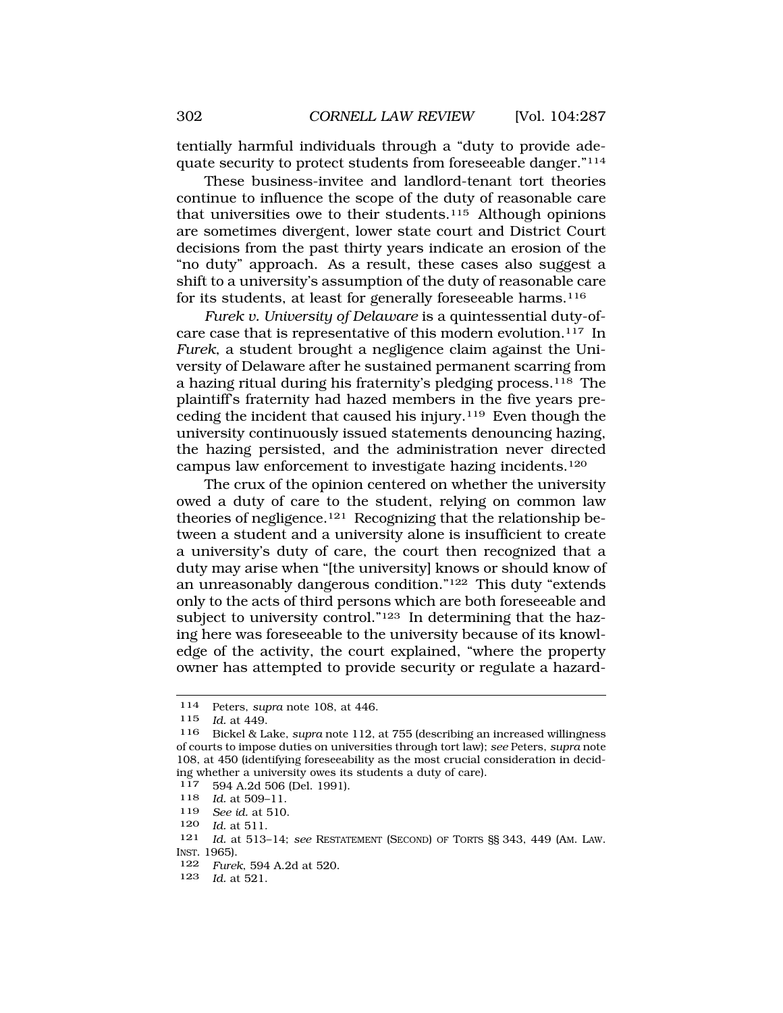tentially harmful individuals through a "duty to provide adequate security to protect students from foreseeable danger."114

These business-invitee and landlord-tenant tort theories continue to influence the scope of the duty of reasonable care that universities owe to their students.<sup>115</sup> Although opinions are sometimes divergent, lower state court and District Court decisions from the past thirty years indicate an erosion of the "no duty" approach. As a result, these cases also suggest a shift to a university's assumption of the duty of reasonable care for its students, at least for generally foreseeable harms.116

*Furek v. University of Delaware* is a quintessential duty-ofcare case that is representative of this modern evolution.<sup>117</sup> In *Furek*, a student brought a negligence claim against the University of Delaware after he sustained permanent scarring from a hazing ritual during his fraternity's pledging process.<sup>118</sup> The plaintiff's fraternity had hazed members in the five years preceding the incident that caused his injury.119 Even though the university continuously issued statements denouncing hazing, the hazing persisted, and the administration never directed campus law enforcement to investigate hazing incidents.120

The crux of the opinion centered on whether the university owed a duty of care to the student, relying on common law theories of negligence.121 Recognizing that the relationship between a student and a university alone is insufficient to create a university's duty of care, the court then recognized that a duty may arise when "[the university] knows or should know of an unreasonably dangerous condition."122 This duty "extends only to the acts of third persons which are both foreseeable and subject to university control."<sup>123</sup> In determining that the hazing here was foreseeable to the university because of its knowledge of the activity, the court explained, "where the property owner has attempted to provide security or regulate a hazard-

- 122 *Furek*, 594 A.2d at 520.
- 123 *Id.* at 521.

<sup>114</sup> Peters, *supra* note 108, at 446.

<sup>115</sup> *Id.* at 449.

<sup>116</sup> Bickel & Lake, *supra* note 112, at 755 (describing an increased willingness of courts to impose duties on universities through tort law); *see* Peters, *supra* note 108, at 450 (identifying foreseeability as the most crucial consideration in deciding whether a university owes its students a duty of care).

<sup>117 594</sup> A.2d 506 (Del. 1991).<br>118 *Id* at 509-11

*Id.* at 509-11.

<sup>119</sup> *See id.* at 510.

<sup>120</sup> *Id.* at 511.

<sup>121</sup> *Id.* at 513–14; *see* RESTATEMENT (SECOND) OF TORTS §§ 343, 449 (AM. LAW. INST. 1965).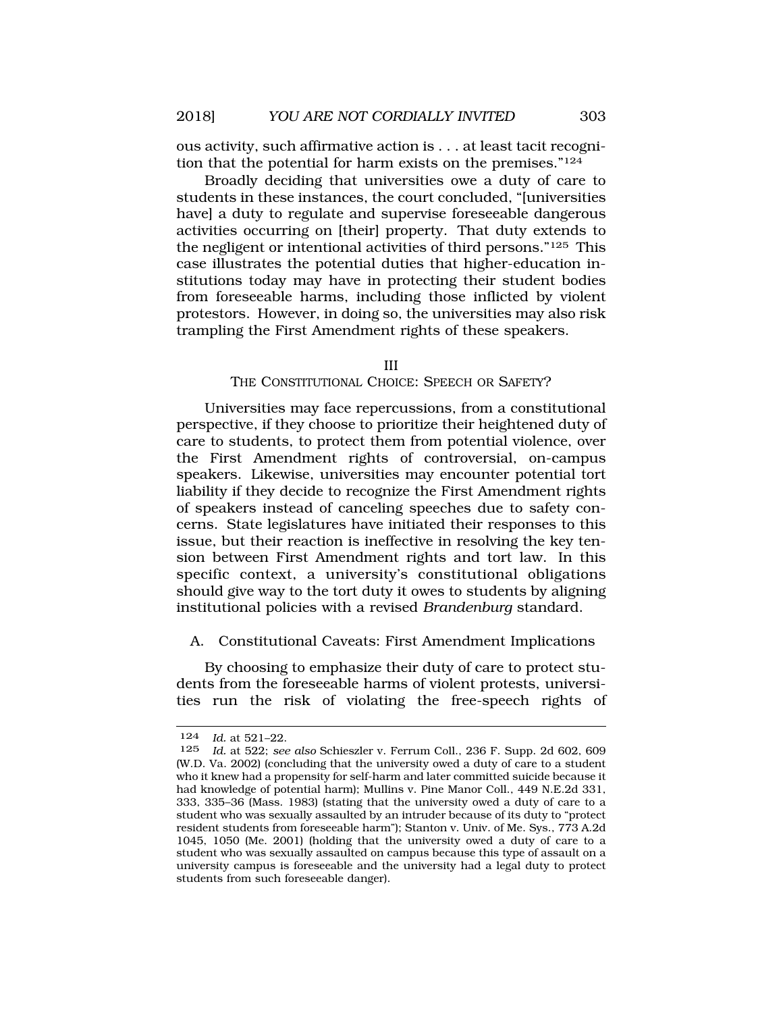ous activity, such affirmative action is . . . at least tacit recognition that the potential for harm exists on the premises."124

Broadly deciding that universities owe a duty of care to students in these instances, the court concluded, "[universities have] a duty to regulate and supervise fore seeable dangerous activities occurring on [their] property. That duty extends to the negligent or intentional activities of third persons."125 This case illustrates the potential duties that higher-education institutions today may have in protecting their student bodies from foreseeable harms, including those inflicted by violent protestors. However, in doing so, the universities may also risk trampling the First Amendment rights of these speakers.

#### III

### THE CONSTITUTIONAL CHOICE: SPEECH OR SAFETY?

Universities may face repercussions, from a constitutional perspective, if they choose to prioritize their heightened duty of care to students, to protect them from potential violence, over the First Amendment rights of controversial, on-campus speakers. Likewise, universities may encounter potential tort liability if they decide to recognize the First Amendment rights of speakers instead of canceling speeches due to safety concerns. State legislatures have initiated their responses to this issue, but their reaction is ineffective in resolving the key tension between First Amendment rights and tort law. In this specific context, a university's constitutional obligations should give way to the tort duty it owes to students by aligning institutional policies with a revised *Brandenburg* standard.

### A. Constitutional Caveats: First Amendment Implications

By choosing to emphasize their duty of care to protect students from the foreseeable harms of violent protests, universities run the risk of violating the free-speech rights of

<sup>124</sup> *Id.* at 521–22.

<sup>125</sup> *Id.* at 522; *see also* Schieszler v. Ferrum Coll., 236 F. Supp. 2d 602, 609 (W.D. Va. 2002) (concluding that the university owed a duty of care to a student who it knew had a propensity for self-harm and later committed suicide because it had knowledge of potential harm); Mullins v. Pine Manor Coll., 449 N.E.2d 331, 333, 335–36 (Mass. 1983) (stating that the university owed a duty of care to a student who was sexually assaulted by an intruder because of its duty to "protect resident students from foreseeable harm"); Stanton v. Univ. of Me. Sys., 773 A.2d 1045, 1050 (Me. 2001) (holding that the university owed a duty of care to a student who was sexually assaulted on campus because this type of assault on a university campus is foreseeable and the university had a legal duty to protect students from such foreseeable danger).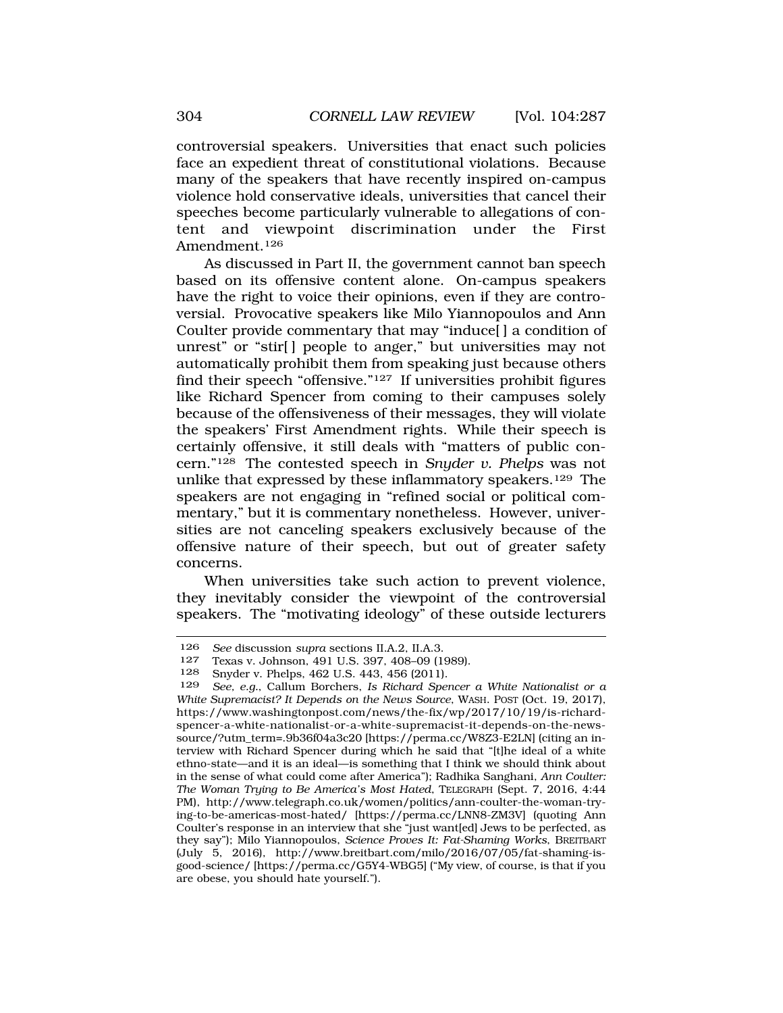controversial speakers. Universities that enact such policies face an expedient threat of constitutional violations. Because many of the speakers that have recently inspired on-campus violence hold conservative ideals, universities that cancel their speeches become particularly vulnerable to allegations of content and viewpoint discrimination under the First Amendment.126

As discussed in Part II, the government cannot ban speech based on its offensive content alone. On-campus speakers have the right to voice their opinions, even if they are controversial. Provocative speakers like Milo Yiannopoulos and Ann Coulter provide commentary that may "induce[ ] a condition of unrest" or "stir[] people to anger," but universities may not automatically prohibit them from speaking just because others find their speech "offensive."127 If universities prohibit figures like Richard Spencer from coming to their campuses solely because of the offensiveness of their messages, they will violate the speakers' First Amendment rights. While their speech is certainly offensive, it still deals with "matters of public concern."128 The contested speech in *Snyder v. Phelps* was not unlike that expressed by these inflammatory speakers.129 The speakers are not engaging in "refined social or political commentary," but it is commentary nonetheless. However, universities are not canceling speakers exclusively because of the offensive nature of their speech, but out of greater safety concerns.

When universities take such action to prevent violence, they inevitably consider the viewpoint of the controversial speakers. The "motivating ideology" of these outside lecturers

<sup>126</sup> *See* discussion *supra* sections II.A.2, II.A.3.

<sup>127</sup> Texas v. Johnson, 491 U.S. 397, 408–09 (1989).

<sup>&</sup>lt;sup>128</sup> Snyder v. Phelps, 462 U.S. 443, 456 (2011).<br><sup>129</sup> See e.g. Callum Borchers, Js. Richard Spe

See, e.g., Callum Borchers, *Is Richard Spencer a White Nationalist or a White Supremacist? It Depends on the News Source*, WASH. POST (Oct. 19, 2017), https://www.washingtonpost.com/news/the-fix/wp/2017/10/19/is-richardspencer-a-white-nationalist-or-a-white-supremacist-it-depends-on-the-newssource/?utm\_term=.9b36f04a3c20 [https://perma.cc/W8Z3-E2LN] (citing an interview with Richard Spencer during which he said that "[t]he ideal of a white ethno-state—and it is an ideal—is something that I think we should think about in the sense of what could come after America"); Radhika Sanghani, *Ann Coulter: The Woman Trying to Be America's Most Hated*, TELEGRAPH (Sept. 7, 2016, 4:44 PM), http://www.telegraph.co.uk/women/politics/ann-coulter-the-woman-trying-to-be-americas-most-hated/ [https://perma.cc/LNN8-ZM3V] (quoting Ann Coulter's response in an interview that she "just want[ed] Jews to be perfected, as they say"); Milo Yiannopoulos, *Science Proves It: Fat-Shaming Works*, BREITBART (July 5, 2016), http://www.breitbart.com/milo/2016/07/05/fat-shaming-isgood-science/ [https://perma.cc/G5Y4-WBG5] ("My view, of course, is that if you are obese, you should hate yourself.").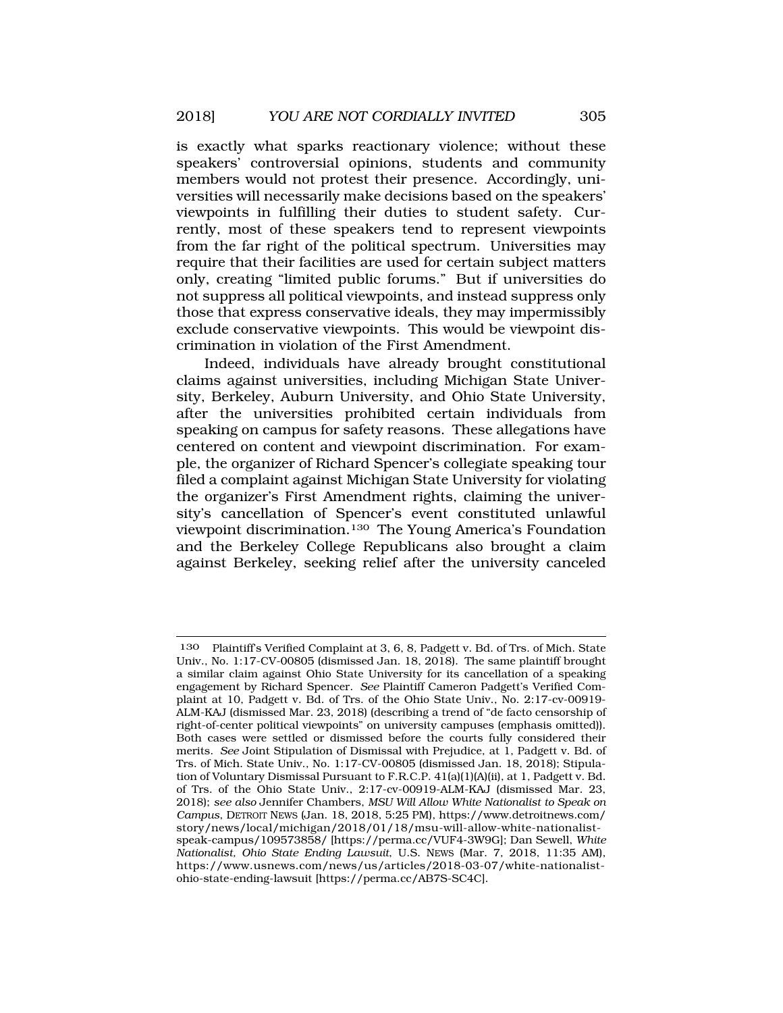is exactly what sparks reactionary violence; without these speakers' controversial opinions, students and community members would not protest their presence. Accordingly, universities will necessarily make decisions based on the speakers' viewpoints in fulfilling their duties to student safety. Currently, most of these speakers tend to represent viewpoints from the far right of the political spectrum. Universities may require that their facilities are used for certain subject matters only, creating "limited public forums." But if universities do not suppress all political viewpoints, and instead suppress only those that express conservative ideals, they may impermissibly exclude conservative viewpoints. This would be viewpoint discrimination in violation of the First Amendment.

Indeed, individuals have already brought constitutional claims against universities, including Michigan State University, Berkeley, Auburn University, and Ohio State University, after the universities prohibited certain individuals from speaking on campus for safety reasons. These allegations have centered on content and viewpoint discrimination. For example, the organizer of Richard Spencer's collegiate speaking tour filed a complaint against Michigan State University for violating the organizer's First Amendment rights, claiming the university's cancellation of Spencer's event constituted unlawful viewpoint discrimination.130 The Young America's Foundation and the Berkeley College Republicans also brought a claim against Berkeley, seeking relief after the university canceled

<sup>130</sup> Plaintiff's Verified Complaint at 3, 6, 8, Padgett v. Bd. of Trs. of Mich. State Univ., No. 1:17-CV-00805 (dismissed Jan. 18, 2018). The same plaintiff brought a similar claim against Ohio State University for its cancellation of a speaking engagement by Richard Spencer. *See* Plaintiff Cameron Padgett's Verified Complaint at 10, Padgett v. Bd. of Trs. of the Ohio State Univ., No. 2:17-cv-00919- ALM-KAJ (dismissed Mar. 23, 2018) (describing a trend of "de facto censorship of right-of-center political viewpoints" on university campuses (emphasis omitted)). Both cases were settled or dismissed before the courts fully considered their merits. *See* Joint Stipulation of Dismissal with Prejudice, at 1, Padgett v. Bd. of Trs. of Mich. State Univ., No. 1:17-CV-00805 (dismissed Jan. 18, 2018); Stipulation of Voluntary Dismissal Pursuant to F.R.C.P. 41(a)(1)(A)(ii), at 1, Padgett v. Bd. of Trs. of the Ohio State Univ., 2:17-cv-00919-ALM-KAJ (dismissed Mar. 23, 2018); *see also* Jennifer Chambers, *MSU Will Allow White Nationalist to Speak on Campus*, DETROIT NEWS (Jan. 18, 2018, 5:25 PM), https://www.detroitnews.com/ story/news/local/michigan/2018/01/18/msu-will-allow-white-nationalistspeak-campus/109573858/ [https://perma.cc/VUF4-3W9G]; Dan Sewell, *White Nationalist, Ohio State Ending Lawsuit*, U.S. NEWS (Mar. 7, 2018, 11:35 AM), https://www.usnews.com/news/us/articles/2018-03-07/white-nationalistohio-state-ending-lawsuit [https://perma.cc/AB7S-SC4C].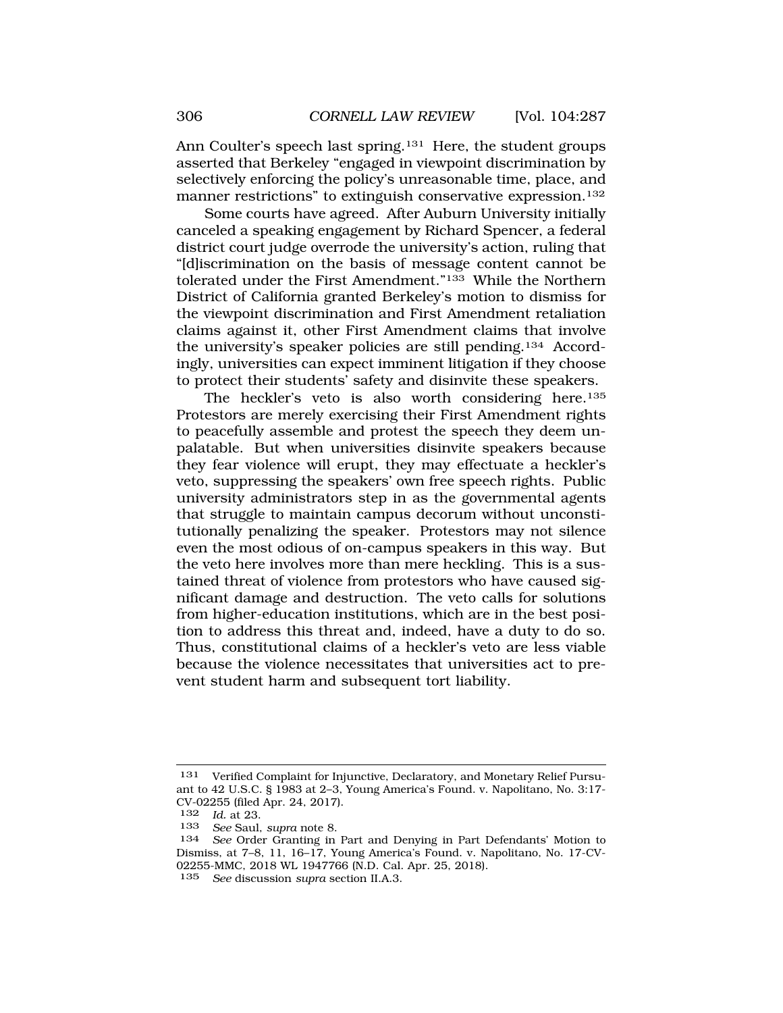Ann Coulter's speech last spring.<sup>131</sup> Here, the student groups asserted that Berkeley "engaged in viewpoint discrimination by selectively enforcing the policy's unreasonable time, place, and manner restrictions" to extinguish conservative expression.132

Some courts have agreed. After Auburn University initially canceled a speaking engagement by Richard Spencer, a federal district court judge overrode the university's action, ruling that "[d]iscrimination on the basis of message content cannot be tolerated under the First Amendment."133 While the Northern District of California granted Berkeley's motion to dismiss for the viewpoint discrimination and First Amendment retaliation claims against it, other First Amendment claims that involve the university's speaker policies are still pending.134 Accordingly, universities can expect imminent litigation if they choose to protect their students' safety and disinvite these speakers.

The heckler's veto is also worth considering here.<sup>135</sup> Protestors are merely exercising their First Amendment rights to peacefully assemble and protest the speech they deem unpalatable. But when universities disinvite speakers because they fear violence will erupt, they may effectuate a heckler's veto, suppressing the speakers' own free speech rights. Public university administrators step in as the governmental agents that struggle to maintain campus decorum without unconstitutionally penalizing the speaker. Protestors may not silence even the most odious of on-campus speakers in this way. But the veto here involves more than mere heckling. This is a sustained threat of violence from protestors who have caused significant damage and destruction. The veto calls for solutions from higher-education institutions, which are in the best position to address this threat and, indeed, have a duty to do so. Thus, constitutional claims of a heckler's veto are less viable because the violence necessitates that universities act to prevent student harm and subsequent tort liability.

<sup>131</sup> Verified Complaint for Injunctive, Declaratory, and Monetary Relief Pursuant to 42 U.S.C. § 1983 at 2–3, Young America's Found. v. Napolitano, No. 3:17- CV-02255 (filed Apr. 24, 2017).<br> $\frac{132}{132}$  *Id at 23* 

<sup>132</sup> *Id.* at 23.

<sup>133</sup> *See* Saul, *supra* note 8.

See Order Granting in Part and Denying in Part Defendants' Motion to Dismiss, at 7–8, 11, 16–17, Young America's Found. v. Napolitano, No. 17-CV-02255-MMC, 2018 WL 1947766 (N.D. Cal. Apr. 25, 2018).

<sup>135</sup> *See* discussion *supra* section II.A.3.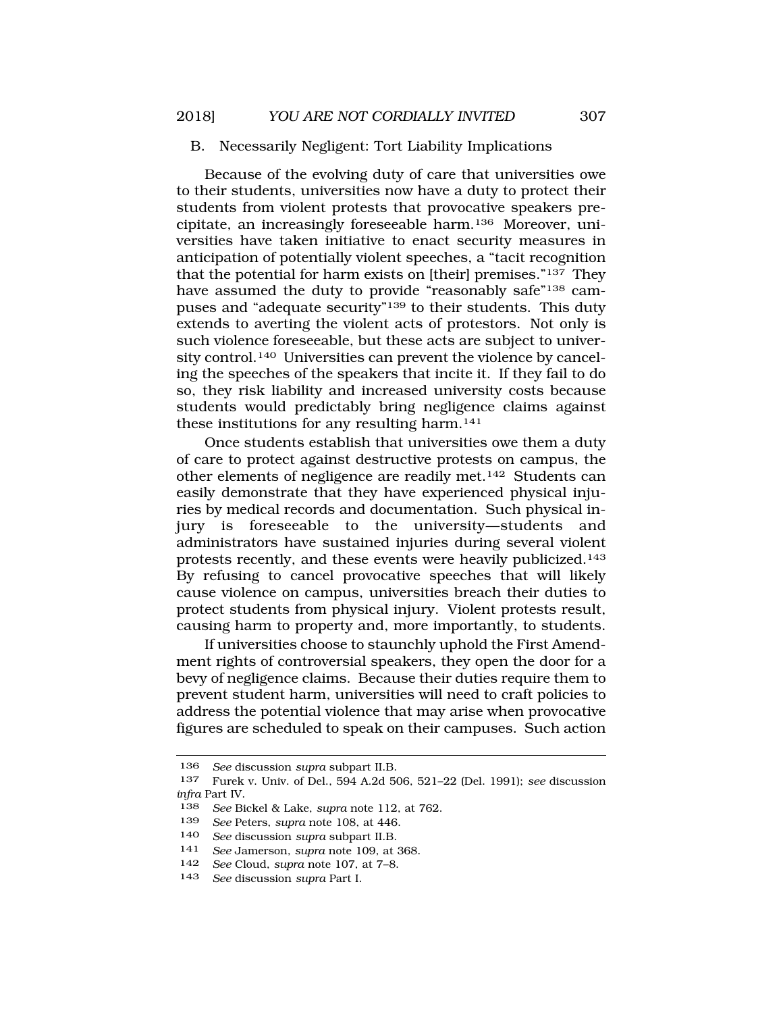# B. Necessarily Negligent: Tort Liability Implications

Because of the evolving duty of care that universities owe to their students, universities now have a duty to protect their students from violent protests that provocative speakers precipitate, an increasingly foreseeable harm.136 Moreover, universities have taken initiative to enact security measures in anticipation of potentially violent speeches, a "tacit recognition that the potential for harm exists on [their] premises."137 They have assumed the duty to provide "reasonably safe"138 campuses and "adequate security"139 to their students. This duty extends to averting the violent acts of protestors. Not only is such violence foreseeable, but these acts are subject to university control.140 Universities can prevent the violence by canceling the speeches of the speakers that incite it. If they fail to do so, they risk liability and increased university costs because students would predictably bring negligence claims against these institutions for any resulting harm.141

Once students establish that universities owe them a duty of care to protect against destructive protests on campus, the other elements of negligence are readily met.142 Students can easily demonstrate that they have experienced physical injuries by medical records and documentation. Such physical injury is foreseeable to the university—students and administrators have sustained injuries during several violent protests recently, and these events were heavily publicized.143 By refusing to cancel provocative speeches that will likely cause violence on campus, universities breach their duties to protect students from physical injury. Violent protests result, causing harm to property and, more importantly, to students.

If universities choose to staunchly uphold the First Amendment rights of controversial speakers, they open the door for a bevy of negligence claims. Because their duties require them to prevent student harm, universities will need to craft policies to address the potential violence that may arise when provocative figures are scheduled to speak on their campuses. Such action

<sup>136</sup> *See* discussion *supra* subpart II.B.

<sup>137</sup> Furek v. Univ. of Del., 594 A.2d 506, 521–22 (Del. 1991); *see* discussion *infra* Part IV.

<sup>138</sup> *See* Bickel & Lake, *supra* note 112, at 762.

<sup>139</sup> *See* Peters, *supra* note 108, at 446.

<sup>140</sup> *See* discussion *supra* subpart II.B.

<sup>141</sup> *See* Jamerson, *supra* note 109, at 368.

<sup>142</sup> *See* Cloud, *supra* note 107, at 7–8.

<sup>143</sup> *See* discussion *supra* Part I.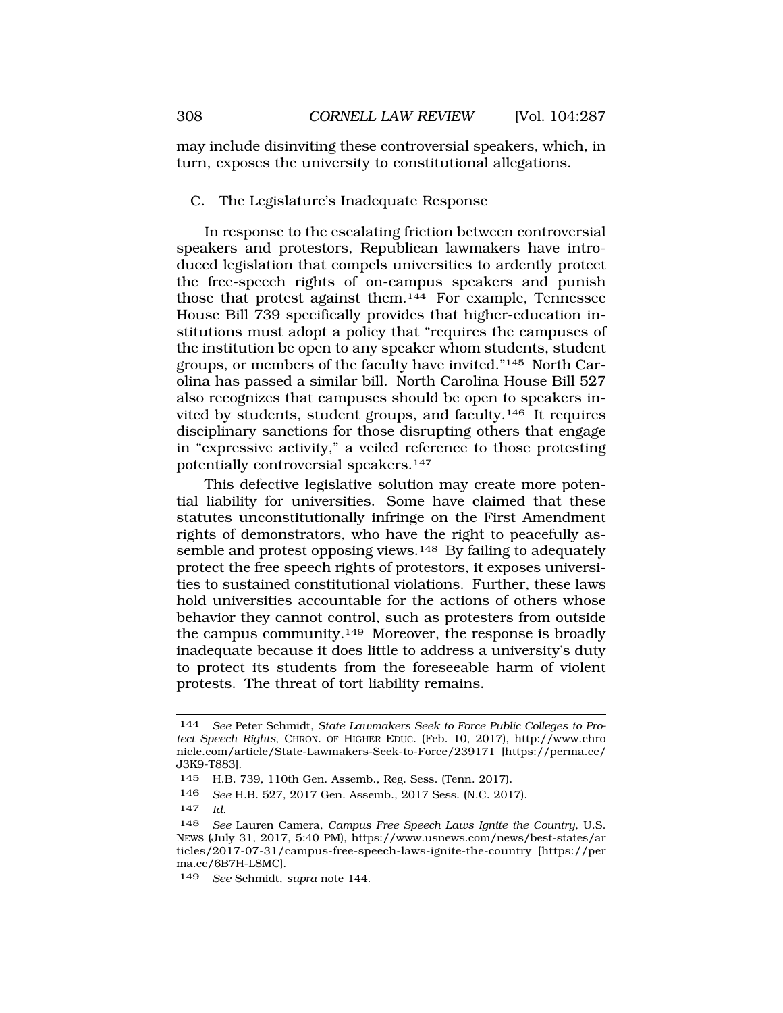<span id="page-21-0"></span>may include disinviting these controversial speakers, which, in turn, exposes the university to constitutional allegations.

C. The Legislature's Inadequate Response

In response to the escalating friction between controversial speakers and protestors, Republican lawmakers have introduced legislation that compels universities to ardently protect the free-speech rights of on-campus speakers and punish those that protest against them.144 For example, Tennessee House Bill 739 specifically provides that higher-education institutions must adopt a policy that "requires the campuses of the institution be open to any speaker whom students, student groups, or members of the faculty have invited."145 North Carolina has passed a similar bill. North Carolina House Bill 527 also recognizes that campuses should be open to speakers invited by students, student groups, and faculty.146 It requires disciplinary sanctions for those disrupting others that engage in "expressive activity," a veiled reference to those protesting potentially controversial speakers.147

This defective legislative solution may create more potential liability for universities. Some have claimed that these statutes unconstitutionally infringe on the First Amendment rights of demonstrators, who have the right to peacefully assemble and protest opposing views.<sup>148</sup> By failing to adequately protect the free speech rights of protestors, it exposes universities to sustained constitutional violations. Further, these laws hold universities accountable for the actions of others whose behavior they cannot control, such as protesters from outside the campus community.149 Moreover, the response is broadly inadequate because it does little to address a university's duty to protect its students from the foreseeable harm of violent protests. The threat of tort liability remains.

<sup>144</sup> *See* Peter Schmidt, *State Lawmakers Seek to Force Public Colleges to Protect Speech Rights*, CHRON. OF HIGHER EDUC. (Feb. 10, 2017), http://www.chro nicle.com/article/State-Lawmakers-Seek-to-Force/239171 [https://perma.cc/ J3K9-T883].

<sup>145</sup> H.B. 739, 110th Gen. Assemb., Reg. Sess. (Tenn. 2017).

<sup>146</sup> *See* H.B. 527, 2017 Gen. Assemb., 2017 Sess. (N.C. 2017).

<sup>147</sup> *Id.* 

<sup>148</sup> *See* Lauren Camera, *Campus Free Speech Laws Ignite the Country*, U.S. NEWS (July 31, 2017, 5:40 PM), https://www.usnews.com/news/best-states/ar ticles/2017-07-31/campus-free-speech-laws-ignite-the-country [https://per ma.cc/6B7H-L8MC].

<sup>149</sup> *See* Schmidt, *supra* note 144.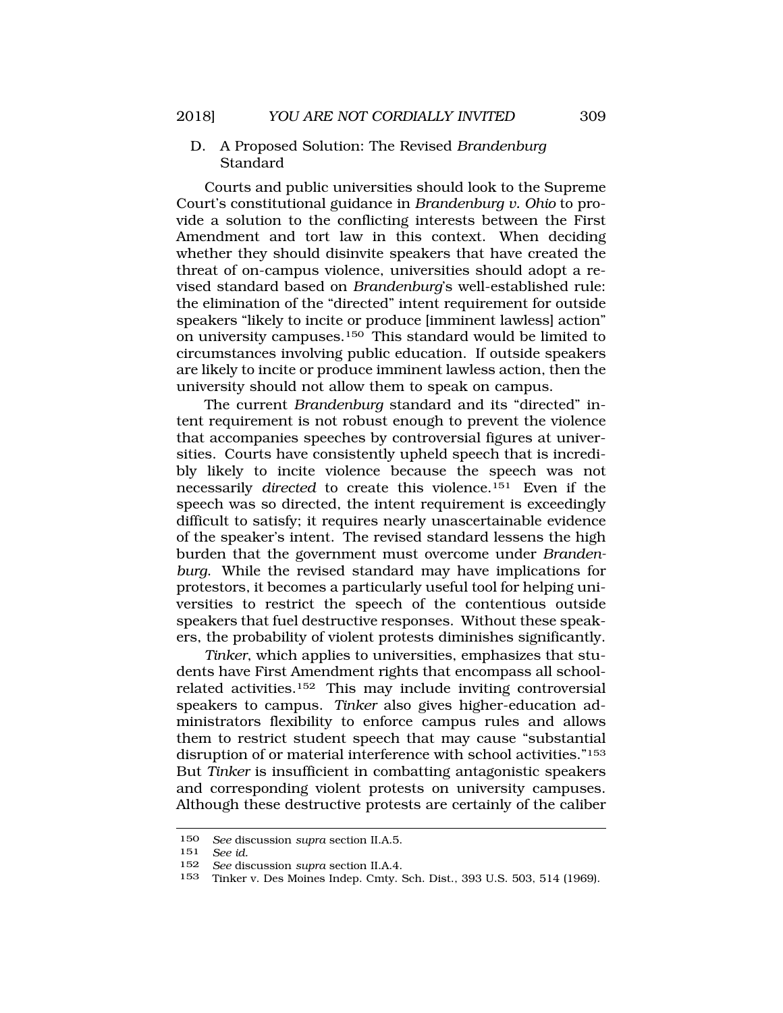D. A Proposed Solution: The Revised *Brandenburg*  Standard

Courts and public universities should look to the Supreme Court's constitutional guidance in *Brandenburg v. Ohio* to provide a solution to the conflicting interests between the First Amendment and tort law in this context. When deciding whether they should disinvite speakers that have created the threat of on-campus violence, universities should adopt a revised standard based on *Brandenburg*'s well-established rule: the elimination of the "directed" intent requirement for outside speakers "likely to incite or produce [imminent lawless] action" on university campuses.150 This standard would be limited to circumstances involving public education. If outside speakers are likely to incite or produce imminent lawless action, then the university should not allow them to speak on campus.

The current *Brandenburg* standard and its "directed" intent requirement is not robust enough to prevent the violence that accompanies speeches by controversial figures at universities. Courts have consistently upheld speech that is incredibly likely to incite violence because the speech was not necessarily *directed* to create this violence.151 Even if the speech was so directed, the intent requirement is exceedingly difficult to satisfy; it requires nearly unascertainable evidence of the speaker's intent. The revised standard lessens the high burden that the government must overcome under *Brandenburg*. While the revised standard may have implications for protestors, it becomes a particularly useful tool for helping universities to restrict the speech of the contentious outside speakers that fuel destructive responses. Without these speakers, the probability of violent protests diminishes significantly.

*Tinker*, which applies to universities, emphasizes that students have First Amendment rights that encompass all schoolrelated activities.152 This may include inviting controversial speakers to campus. *Tinker* also gives higher-education administrators flexibility to enforce campus rules and allows them to restrict student speech that may cause "substantial disruption of or material interference with school activities."153 But *Tinker* is insufficient in combatting antagonistic speakers and corresponding violent protests on university campuses. Although these destructive protests are certainly of the caliber

<sup>150</sup> *See* discussion *supra* section II.A.5.

See *id.* 

<sup>152</sup> *See* discussion *supra* section II.A.4.

<sup>153</sup> Tinker v. Des Moines Indep. Cmty. Sch. Dist., 393 U.S. 503, 514 (1969).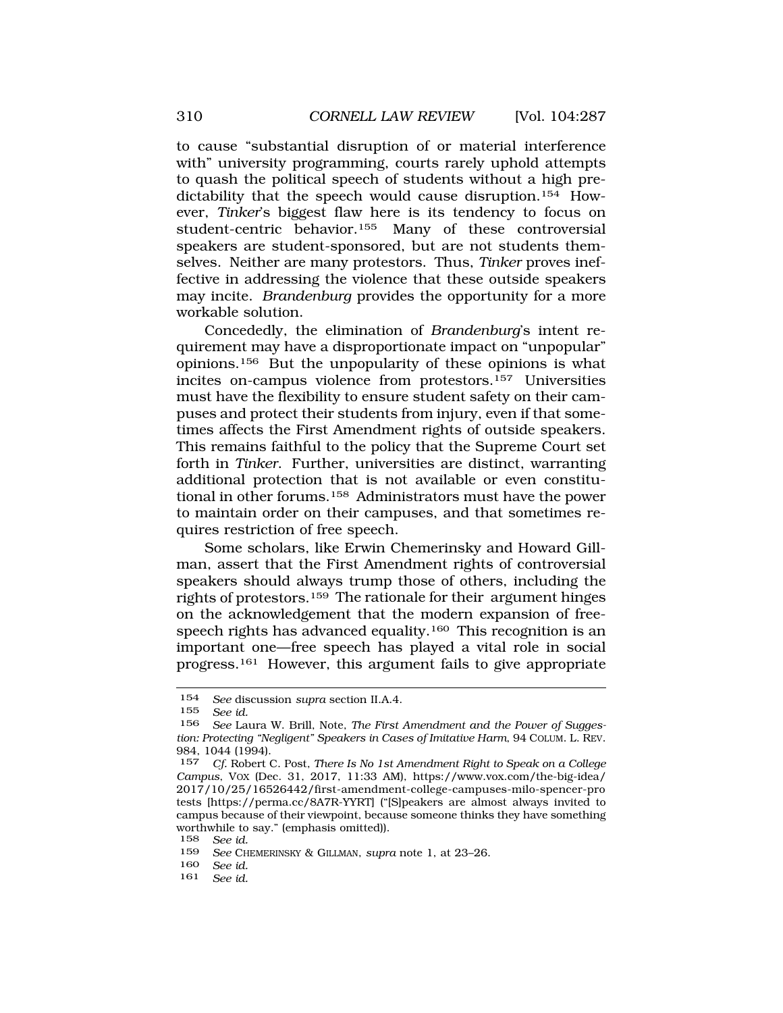to cause "substantial disruption of or material interference with" university programming, courts rarely uphold attempts to quash the political speech of students without a high predictability that the speech would cause disruption.154 However, *Tinker*'s biggest flaw here is its tendency to focus on student-centric behavior.155 Many of these controversial speakers are student-sponsored, but are not students themselves. Neither are many protestors. Thus, *Tinker* proves ineffective in addressing the violence that these outside speakers may incite. *Brandenburg* provides the opportunity for a more workable solution.

Concededly, the elimination of *Brandenburg*'s intent requirement may have a disproportionate impact on "unpopular" opinions.156 But the unpopularity of these opinions is what incites on-campus violence from protestors.157 Universities must have the flexibility to ensure student safety on their campuses and protect their students from injury, even if that sometimes affects the First Amendment rights of outside speakers. This remains faithful to the policy that the Supreme Court set forth in *Tinker*. Further, universities are distinct, warranting additional protection that is not available or even constitutional in other forums.158 Administrators must have the power to maintain order on their campuses, and that sometimes requires restriction of free speech.

Some scholars, like Erwin Chemerinsky and Howard Gillman, assert that the First Amendment rights of controversial speakers should always trump those of others, including the rights of protestors.159 The rationale for their argument hinges on the acknowledgement that the modern expansion of freespeech rights has advanced equality.<sup>160</sup> This recognition is an important one—free speech has played a vital role in social progress.161 However, this argument fails to give appropriate

161 *See id.* 

<sup>154</sup> *See* discussion *supra* section II.A.4.

<sup>155</sup> *See id.* 

<sup>156</sup> *See* Laura W. Brill, Note, *The First Amendment and the Power of Suggestion: Protecting "Negligent" Speakers in Cases of Imitative Harm*, 94 COLUM. L. REV. 984, 1044 (1994).<br>157 Cf Robert (

<sup>157</sup> *Cf.* Robert C. Post, *There Is No 1st Amendment Right to Speak on a College Campus*, VOX (Dec. 31, 2017, 11:33 AM), https://www.vox.com/the-big-idea/ 2017/10/25/16526442/first-amendment-college-campuses-milo-spencer-pro tests [https://perma.cc/8A7R-YYRT] ("[S]peakers are almost always invited to campus because of their viewpoint, because someone thinks they have something worthwhile to say." (emphasis omitted)).

<sup>158</sup> *See id.* 

<sup>159</sup> *See* CHEMERINSKY & GILLMAN, *supra* note 1, at 23–26.

<sup>160</sup> *See id.*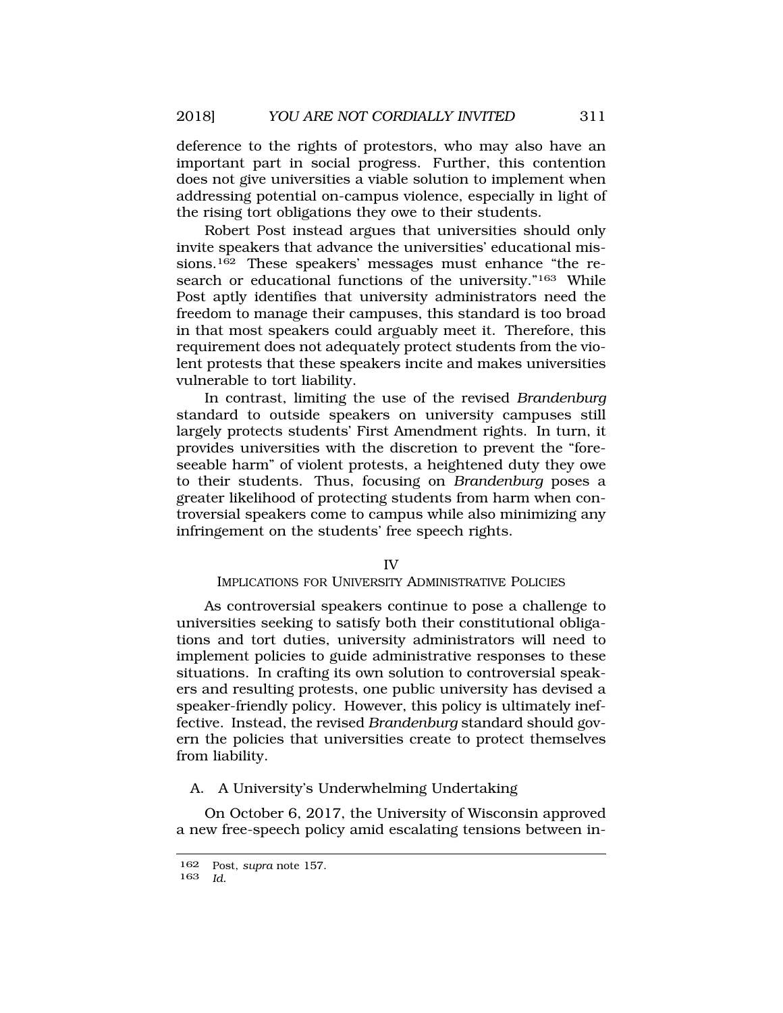deference to the rights of protestors, who may also have an important part in social progress. Further, this contention does not give universities a viable solution to implement when addressing potential on-campus violence, especially in light of the rising tort obligations they owe to their students.

Robert Post instead argues that universities should only invite speakers that advance the universities' educational missions.162 These speakers' messages must enhance "the research or educational functions of the university."<sup>163</sup> While Post aptly identifies that university administrators need the freedom to manage their campuses, this standard is too broad in that most speakers could arguably meet it. Therefore, this requirement does not adequately protect students from the violent protests that these speakers incite and makes universities vulnerable to tort liability.

In contrast, limiting the use of the revised *Brandenburg*  standard to outside speakers on university campuses still largely protects students' First Amendment rights. In turn, it provides universities with the discretion to prevent the "foreseeable harm" of violent protests, a heightened duty they owe to their students. Thus, focusing on *Brandenburg* poses a greater likelihood of protecting students from harm when controversial speakers come to campus while also minimizing any infringement on the students' free speech rights.

### IV

### IMPLICATIONS FOR UNIVERSITY ADMINISTRATIVE POLICIES

As controversial speakers continue to pose a challenge to universities seeking to satisfy both their constitutional obligations and tort duties, university administrators will need to implement policies to guide administrative responses to these situations. In crafting its own solution to controversial speakers and resulting protests, one public university has devised a speaker-friendly policy. However, this policy is ultimately ineffective. Instead, the revised *Brandenburg* standard should govern the policies that universities create to protect themselves from liability.

### A. A University's Underwhelming Undertaking

On October 6, 2017, the University of Wisconsin approved a new free-speech policy amid escalating tensions between in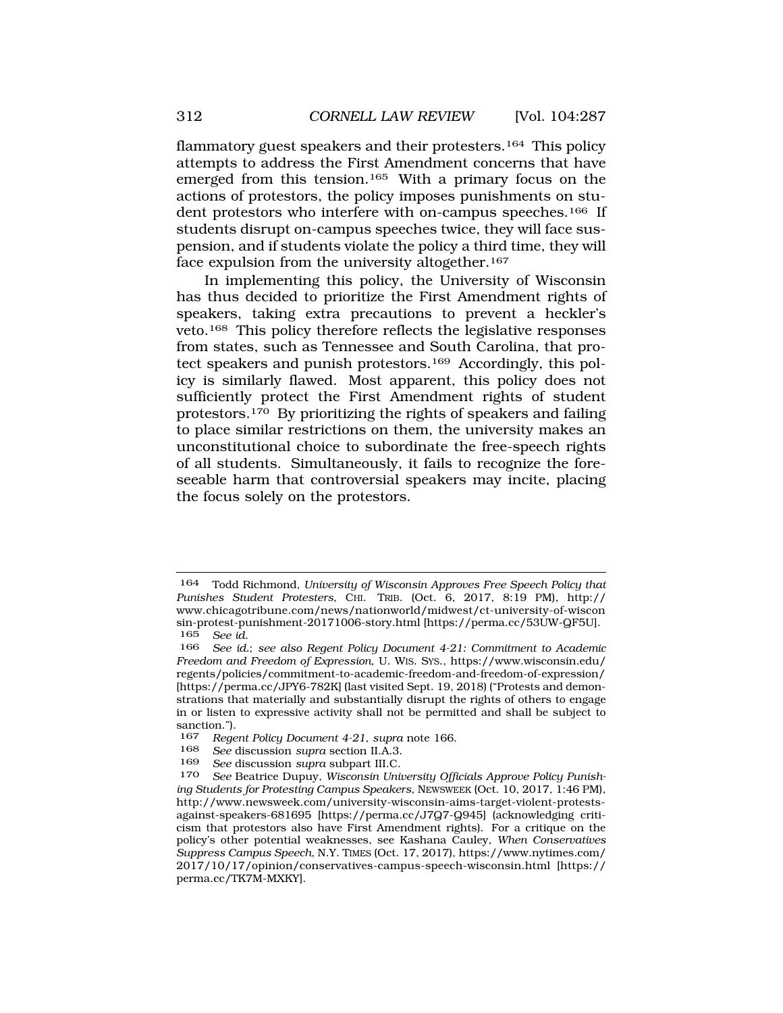flammatory guest speakers and their protesters.<sup>164</sup> This policy attempts to address the First Amendment concerns that have emerged from this tension.165 With a primary focus on the actions of protestors, the policy imposes punishments on student protestors who interfere with on-campus speeches.166 If students disrupt on-campus speeches twice, they will face suspension, and if students violate the policy a third time, they will face expulsion from the university altogether.167

In implementing this policy, the University of Wisconsin has thus decided to prioritize the First Amendment rights of speakers, taking extra precautions to prevent a heckler's veto.168 This policy therefore reflects the legislative responses from states, such as Tennessee and South Carolina, that protect speakers and punish protestors.<sup>169</sup> Accordingly, this policy is similarly flawed. Most apparent, this policy does not sufficiently protect the First Amendment rights of student protestors.170 By prioritizing the rights of speakers and failing to place similar restrictions on them, the university makes an unconstitutional choice to subordinate the free-speech rights of all students. Simultaneously, it fails to recognize the foreseeable harm that controversial speakers may incite, placing the focus solely on the protestors.

<sup>164</sup> Todd Richmond, *University of Wisconsin Approves Free Speech Policy that Punishes Student Protesters*, CHI. TRIB. (Oct. 6, 2017, 8:19 PM), http:// www.chicagotribune.com/news/nationworld/midwest/ct-university-of-wiscon sin-protest-punishment-20171006-story.html [https://perma.cc/53UW-QF5U].<br>165 See id 165 *See id.* 

See id.; see also Regent Policy Document 4-21: Commitment to Academic *Freedom and Freedom of Expression*, U. WIS. SYS., https://www.wisconsin.edu/ regents/policies/commitment-to-academic-freedom-and-freedom-of-expression/ [https://perma.cc/JPY6-782K] (last visited Sept. 19, 2018) ("Protests and demonstrations that materially and substantially disrupt the rights of others to engage in or listen to expressive activity shall not be permitted and shall be subject to sanction.").

<sup>167</sup> *Regent Policy Document 4-21*, *supra* note 166.

<sup>168</sup> *See* discussion *supra* section II.A.3.

<sup>169</sup> *See* discussion *supra* subpart III.C.

<sup>170</sup> *See* Beatrice Dupuy, *Wisconsin University Officials Approve Policy Punishing Students for Protesting Campus Speakers*, NEWSWEEK (Oct. 10, 2017, 1:46 PM), http://www.newsweek.com/university-wisconsin-aims-target-violent-protestsagainst-speakers-681695 [https://perma.cc/J7Q7-Q945] (acknowledging criticism that protestors also have First Amendment rights). For a critique on the policy's other potential weaknesses, see Kashana Cauley, *When Conservatives Suppress Campus Speech*, N.Y. TIMES (Oct. 17, 2017), https://www.nytimes.com/ 2017/10/17/opinion/conservatives-campus-speech-wisconsin.html [https:// perma.cc/TK7M-MXKY].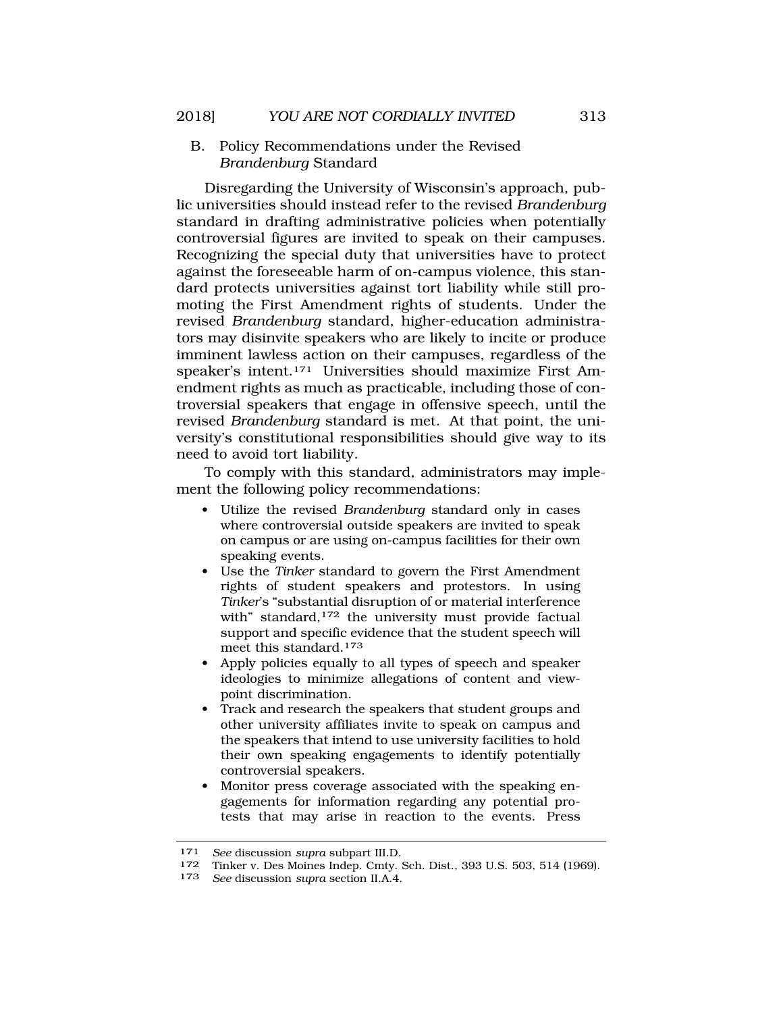B. Policy Recommendations under the Revised *Brandenburg* Standard

Disregarding the University of Wisconsin's approach, public universities should instead refer to the revised *Brandenburg*  standard in drafting administrative policies when potentially controversial figures are invited to speak on their campuses. Recognizing the special duty that universities have to protect against the foreseeable harm of on-campus violence, this standard protects universities against tort liability while still promoting the First Amendment rights of students. Under the revised *Brandenburg* standard, higher-education administrators may disinvite speakers who are likely to incite or produce imminent lawless action on their campuses, regardless of the speaker's intent.171 Universities should maximize First Amendment rights as much as practicable, including those of controversial speakers that engage in offensive speech, until the revised *Brandenburg* standard is met. At that point, the university's constitutional responsibilities should give way to its need to avoid tort liability.

To comply with this standard, administrators may implement the following policy recommendations:

- Utilize the revised *Brandenburg* standard only in cases where controversial outside speakers are invited to speak on campus or are using on-campus facilities for their own speaking events.
- Use the *Tinker* standard to govern the First Amendment rights of student speakers and protestors. In using *Tinker*'s "substantial disruption of or material interference with" standard,<sup>172</sup> the university must provide factual support and specific evidence that the student speech will meet this standard.173
- Apply policies equally to all types of speech and speaker ideologies to minimize allegations of content and viewpoint discrimination.
- Track and research the speakers that student groups and other university affiliates invite to speak on campus and the speakers that intend to use university facilities to hold their own speaking engagements to identify potentially controversial speakers.
- Monitor press coverage associated with the speaking engagements for information regarding any potential protests that may arise in reaction to the events. Press

<sup>171</sup> *See* discussion *supra* subpart III.D.

<sup>172</sup> Tinker v. Des Moines Indep. Cmty. Sch. Dist., 393 U.S. 503, 514 (1969).<br>173 See discussion sunta section II A 4.

<sup>173</sup> *See* discussion *supra* section II.A.4.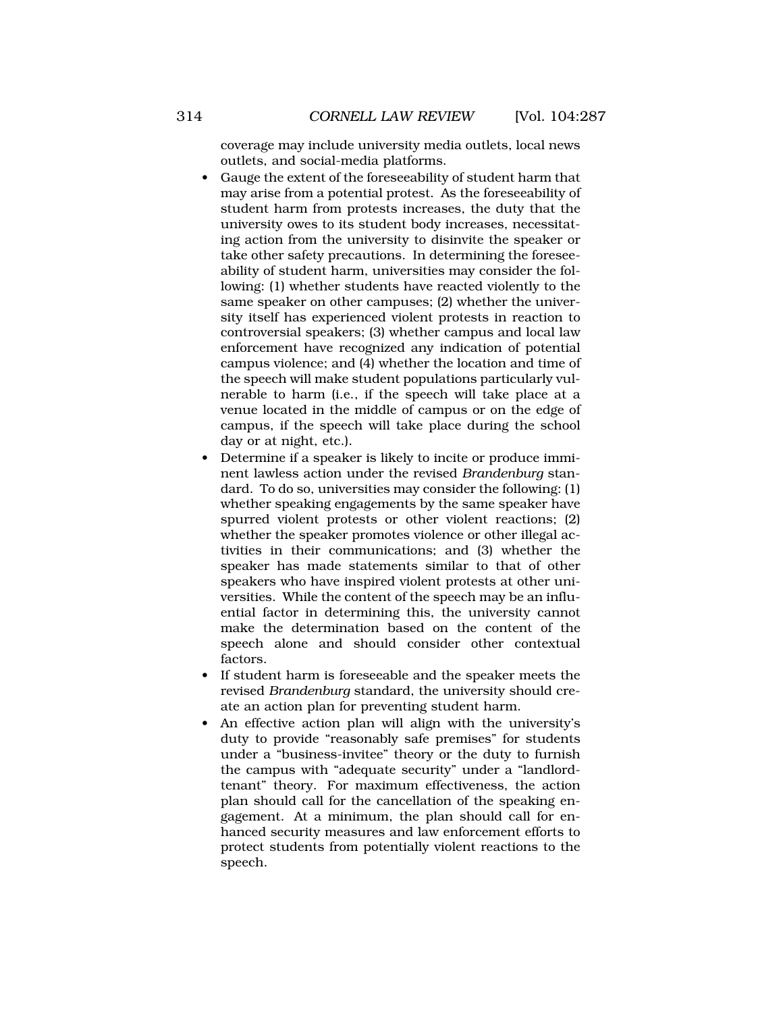coverage may include university media outlets, local news outlets, and social-media platforms.

- Gauge the extent of the foreseeability of student harm that may arise from a potential protest. As the foreseeability of student harm from protests increases, the duty that the university owes to its student body increases, necessitating action from the university to disinvite the speaker or take other safety precautions. In determining the foreseeability of student harm, universities may consider the following: (1) whether students have reacted violently to the same speaker on other campuses; (2) whether the university itself has experienced violent protests in reaction to controversial speakers; (3) whether campus and local law enforcement have recognized any indication of potential campus violence; and (4) whether the location and time of the speech will make student populations particularly vulnerable to harm (i.e., if the speech will take place at a venue located in the middle of campus or on the edge of campus, if the speech will take place during the school day or at night, etc.).
- Determine if a speaker is likely to incite or produce imminent lawless action under the revised *Brandenburg* standard. To do so, universities may consider the following: (1) whether speaking engagements by the same speaker have spurred violent protests or other violent reactions; (2) whether the speaker promotes violence or other illegal activities in their communications; and (3) whether the speaker has made statements similar to that of other speakers who have inspired violent protests at other universities. While the content of the speech may be an influential factor in determining this, the university cannot make the determination based on the content of the speech alone and should consider other contextual factors.
- If student harm is foreseeable and the speaker meets the revised *Brandenburg* standard, the university should create an action plan for preventing student harm.
- An effective action plan will align with the university's duty to provide "reasonably safe premises" for students under a "business-invitee" theory or the duty to furnish the campus with "adequate security" under a "landlordtenant" theory. For maximum effectiveness, the action plan should call for the cancellation of the speaking engagement. At a minimum, the plan should call for enhanced security measures and law enforcement efforts to protect students from potentially violent reactions to the speech.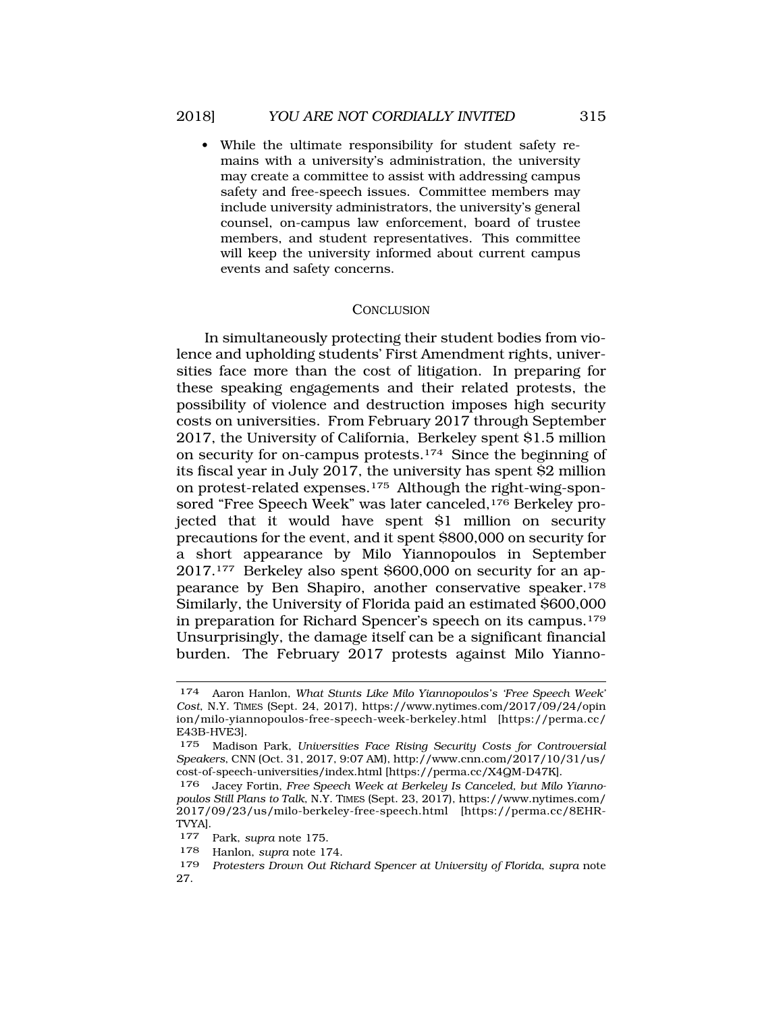While the ultimate responsibility for student safety remains with a university's administration, the university may create a committee to assist with addressing campus safety and free-speech issues. Committee members may include university administrators, the university's general counsel, on-campus law enforcement, board of trustee members, and student representatives. This committee will keep the university informed about current campus events and safety concerns.

### **CONCLUSION**

In simultaneously protecting their student bodies from violence and upholding students' First Amendment rights, universities face more than the cost of litigation. In preparing for these speaking engagements and their related protests, the possibility of violence and destruction imposes high security costs on universities. From February 2017 through September 2017, the University of California, Berkeley spent \$1.5 million on security for on-campus protests.174 Since the beginning of its fiscal year in July 2017, the university has spent \$2 million on protest-related expenses.175 Although the right-wing-sponsored "Free Speech Week" was later canceled, <sup>176</sup> Berkeley projected that it would have spent \$1 million on security precautions for the event, and it spent \$800,000 on security for a short appearance by Milo Yiannopoulos in September 2017.177 Berkeley also spent \$600,000 on security for an appearance by Ben Shapiro, another conservative speaker.178 Similarly, the University of Florida paid an estimated \$600,000 in preparation for Richard Spencer's speech on its campus.179 Unsurprisingly, the damage itself can be a significant financial burden. The February 2017 protests against Milo Yianno-

<sup>174</sup> Aaron Hanlon, *What Stunts Like Milo Yiannopoulos's 'Free Speech Week' Cost*, N.Y. TIMES (Sept. 24, 2017), https://www.nytimes.com/2017/09/24/opin ion/milo-yiannopoulos-free-speech-week-berkeley.html [https://perma.cc/ E43B-HVE3].

<sup>175</sup> Madison Park, *Universities Face Rising Security Costs for Controversial Speakers*, CNN (Oct. 31, 2017, 9:07 AM), http://www.cnn.com/2017/10/31/us/ cost-of-speech-universities/index.html [https://perma.cc/X4QM-D47K].

<sup>176</sup> Jacey Fortin, *Free Speech Week at Berkeley Is Canceled, but Milo Yiannopoulos Still Plans to Talk*, N.Y. TIMES (Sept. 23, 2017), https://www.nytimes.com/ 2017/09/23/us/milo-berkeley-free-speech.html [https://perma.cc/8EHR-TVYA].

<sup>177</sup> Park, *supra* note 175.

<sup>178</sup> Hanlon, *supra* note 174.

<sup>179</sup> *Protesters Drown Out Richard Spencer at University of Florida*, *supra* note 27.